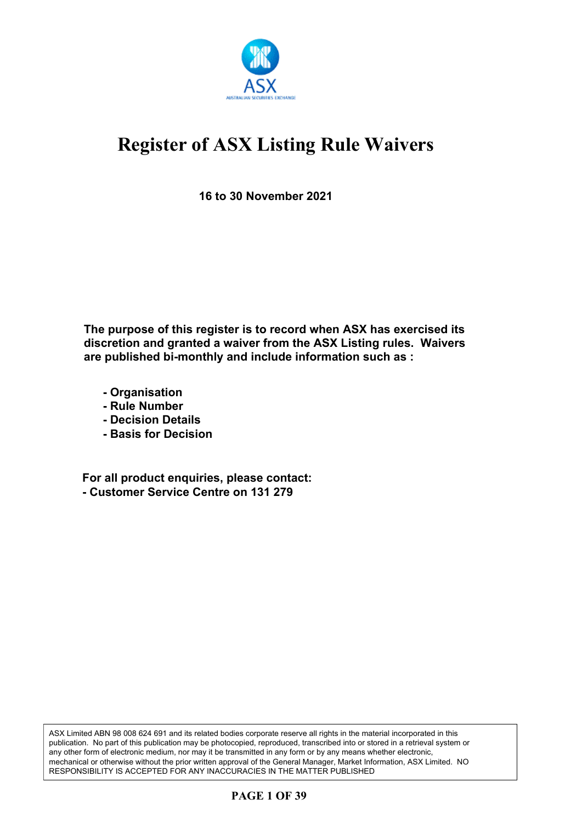

**16 to 30 November 2021**

**The purpose of this register is to record when ASX has exercised its discretion and granted a waiver from the ASX Listing rules. Waivers are published bi-monthly and include information such as :**

- **Organisation**
- **Rule Number**
- **Decision Details**
- **Basis for Decision**

**For all product enquiries, please contact: - Customer Service Centre on 131 279**

ASX Limited ABN 98 008 624 691 and its related bodies corporate reserve all rights in the material incorporated in this publication. No part of this publication may be photocopied, reproduced, transcribed into or stored in a retrieval system or any other form of electronic medium, nor may it be transmitted in any form or by any means whether electronic, mechanical or otherwise without the prior written approval of the General Manager, Market Information, ASX Limited. NO RESPONSIBILITY IS ACCEPTED FOR ANY INACCURACIES IN THE MATTER PUBLISHED

### **PAGE 1 OF 39**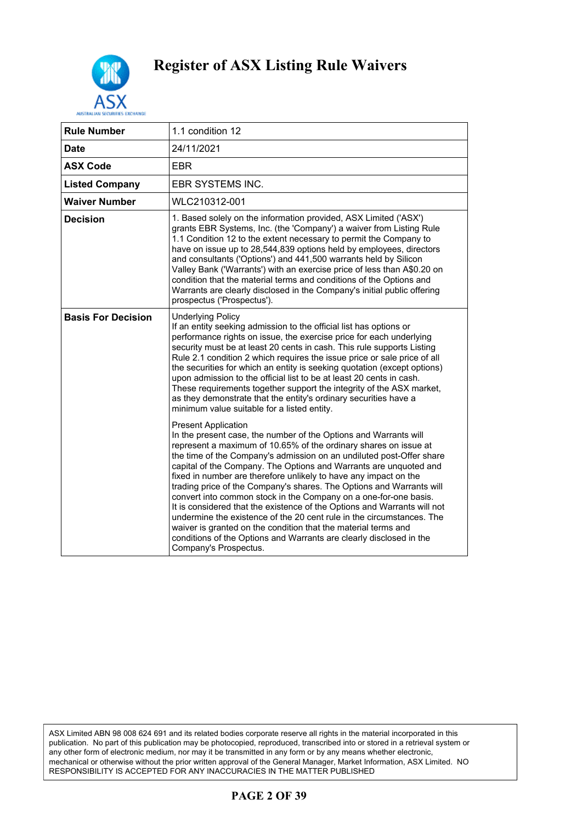

| <b>Rule Number</b>        | 1.1 condition 12                                                                                                                                                                                                                                                                                                                                                                                                                                                                                                                                                                                                                                                                                                                                                                                                                                       |
|---------------------------|--------------------------------------------------------------------------------------------------------------------------------------------------------------------------------------------------------------------------------------------------------------------------------------------------------------------------------------------------------------------------------------------------------------------------------------------------------------------------------------------------------------------------------------------------------------------------------------------------------------------------------------------------------------------------------------------------------------------------------------------------------------------------------------------------------------------------------------------------------|
| <b>Date</b>               | 24/11/2021                                                                                                                                                                                                                                                                                                                                                                                                                                                                                                                                                                                                                                                                                                                                                                                                                                             |
| <b>ASX Code</b>           | <b>EBR</b>                                                                                                                                                                                                                                                                                                                                                                                                                                                                                                                                                                                                                                                                                                                                                                                                                                             |
| <b>Listed Company</b>     | EBR SYSTEMS INC.                                                                                                                                                                                                                                                                                                                                                                                                                                                                                                                                                                                                                                                                                                                                                                                                                                       |
| <b>Waiver Number</b>      | WLC210312-001                                                                                                                                                                                                                                                                                                                                                                                                                                                                                                                                                                                                                                                                                                                                                                                                                                          |
| <b>Decision</b>           | 1. Based solely on the information provided, ASX Limited ('ASX')<br>grants EBR Systems, Inc. (the 'Company') a waiver from Listing Rule<br>1.1 Condition 12 to the extent necessary to permit the Company to<br>have on issue up to 28,544,839 options held by employees, directors<br>and consultants ('Options') and 441,500 warrants held by Silicon<br>Valley Bank ('Warrants') with an exercise price of less than A\$0.20 on<br>condition that the material terms and conditions of the Options and<br>Warrants are clearly disclosed in the Company's initial public offering<br>prospectus ('Prospectus').                                                                                                                                                                                                                                     |
| <b>Basis For Decision</b> | <b>Underlying Policy</b><br>If an entity seeking admission to the official list has options or<br>performance rights on issue, the exercise price for each underlying<br>security must be at least 20 cents in cash. This rule supports Listing<br>Rule 2.1 condition 2 which requires the issue price or sale price of all<br>the securities for which an entity is seeking quotation (except options)<br>upon admission to the official list to be at least 20 cents in cash.<br>These requirements together support the integrity of the ASX market,<br>as they demonstrate that the entity's ordinary securities have a<br>minimum value suitable for a listed entity.                                                                                                                                                                             |
|                           | <b>Present Application</b><br>In the present case, the number of the Options and Warrants will<br>represent a maximum of 10.65% of the ordinary shares on issue at<br>the time of the Company's admission on an undiluted post-Offer share<br>capital of the Company. The Options and Warrants are unquoted and<br>fixed in number are therefore unlikely to have any impact on the<br>trading price of the Company's shares. The Options and Warrants will<br>convert into common stock in the Company on a one-for-one basis.<br>It is considered that the existence of the Options and Warrants will not<br>undermine the existence of the 20 cent rule in the circumstances. The<br>waiver is granted on the condition that the material terms and<br>conditions of the Options and Warrants are clearly disclosed in the<br>Company's Prospectus. |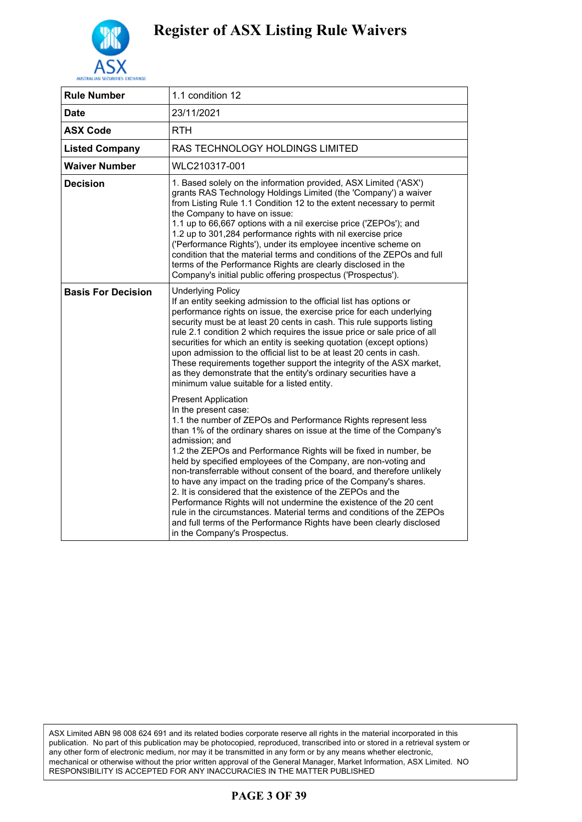

| <b>Rule Number</b>        | 1.1 condition 12                                                                                                                                                                                                                                                                                                                                                                                                                                                                                                                                                                                                                                                                                                                                                                                                        |
|---------------------------|-------------------------------------------------------------------------------------------------------------------------------------------------------------------------------------------------------------------------------------------------------------------------------------------------------------------------------------------------------------------------------------------------------------------------------------------------------------------------------------------------------------------------------------------------------------------------------------------------------------------------------------------------------------------------------------------------------------------------------------------------------------------------------------------------------------------------|
| <b>Date</b>               | 23/11/2021                                                                                                                                                                                                                                                                                                                                                                                                                                                                                                                                                                                                                                                                                                                                                                                                              |
| <b>ASX Code</b>           | <b>RTH</b>                                                                                                                                                                                                                                                                                                                                                                                                                                                                                                                                                                                                                                                                                                                                                                                                              |
| <b>Listed Company</b>     | RAS TECHNOLOGY HOLDINGS LIMITED                                                                                                                                                                                                                                                                                                                                                                                                                                                                                                                                                                                                                                                                                                                                                                                         |
| <b>Waiver Number</b>      | WLC210317-001                                                                                                                                                                                                                                                                                                                                                                                                                                                                                                                                                                                                                                                                                                                                                                                                           |
| <b>Decision</b>           | 1. Based solely on the information provided, ASX Limited ('ASX')<br>grants RAS Technology Holdings Limited (the 'Company') a waiver<br>from Listing Rule 1.1 Condition 12 to the extent necessary to permit<br>the Company to have on issue:<br>1.1 up to 66,667 options with a nil exercise price ('ZEPOs'); and<br>1.2 up to 301,284 performance rights with nil exercise price<br>('Performance Rights'), under its employee incentive scheme on<br>condition that the material terms and conditions of the ZEPOs and full<br>terms of the Performance Rights are clearly disclosed in the<br>Company's initial public offering prospectus ('Prospectus').                                                                                                                                                           |
| <b>Basis For Decision</b> | <b>Underlying Policy</b><br>If an entity seeking admission to the official list has options or<br>performance rights on issue, the exercise price for each underlying<br>security must be at least 20 cents in cash. This rule supports listing<br>rule 2.1 condition 2 which requires the issue price or sale price of all<br>securities for which an entity is seeking quotation (except options)<br>upon admission to the official list to be at least 20 cents in cash.<br>These requirements together support the integrity of the ASX market,<br>as they demonstrate that the entity's ordinary securities have a<br>minimum value suitable for a listed entity.                                                                                                                                                  |
|                           | <b>Present Application</b><br>In the present case:<br>1.1 the number of ZEPOs and Performance Rights represent less<br>than 1% of the ordinary shares on issue at the time of the Company's<br>admission; and<br>1.2 the ZEPOs and Performance Rights will be fixed in number, be<br>held by specified employees of the Company, are non-voting and<br>non-transferrable without consent of the board, and therefore unlikely<br>to have any impact on the trading price of the Company's shares.<br>2. It is considered that the existence of the ZEPOs and the<br>Performance Rights will not undermine the existence of the 20 cent<br>rule in the circumstances. Material terms and conditions of the ZEPOs<br>and full terms of the Performance Rights have been clearly disclosed<br>in the Company's Prospectus. |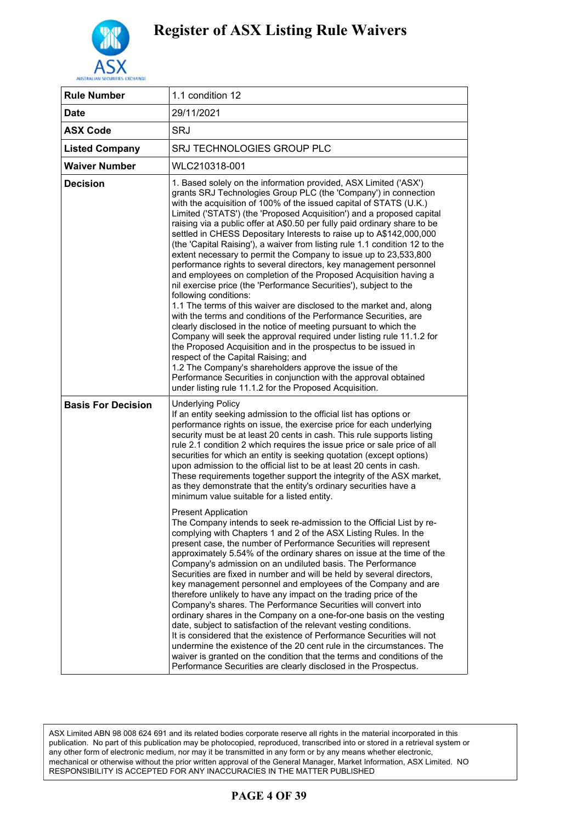

| <b>Rule Number</b>        | 1.1 condition 12                                                                                                                                                                                                                                                                                                                                                                                                                                                                                                                                                                                                                                                                                                                                                                                                                                                                                                                                                                                                                                                                                                                                                                                                                                                                                                                                                                                                            |
|---------------------------|-----------------------------------------------------------------------------------------------------------------------------------------------------------------------------------------------------------------------------------------------------------------------------------------------------------------------------------------------------------------------------------------------------------------------------------------------------------------------------------------------------------------------------------------------------------------------------------------------------------------------------------------------------------------------------------------------------------------------------------------------------------------------------------------------------------------------------------------------------------------------------------------------------------------------------------------------------------------------------------------------------------------------------------------------------------------------------------------------------------------------------------------------------------------------------------------------------------------------------------------------------------------------------------------------------------------------------------------------------------------------------------------------------------------------------|
| <b>Date</b>               | 29/11/2021                                                                                                                                                                                                                                                                                                                                                                                                                                                                                                                                                                                                                                                                                                                                                                                                                                                                                                                                                                                                                                                                                                                                                                                                                                                                                                                                                                                                                  |
| <b>ASX Code</b>           | <b>SRJ</b>                                                                                                                                                                                                                                                                                                                                                                                                                                                                                                                                                                                                                                                                                                                                                                                                                                                                                                                                                                                                                                                                                                                                                                                                                                                                                                                                                                                                                  |
| <b>Listed Company</b>     | SRJ TECHNOLOGIES GROUP PLC                                                                                                                                                                                                                                                                                                                                                                                                                                                                                                                                                                                                                                                                                                                                                                                                                                                                                                                                                                                                                                                                                                                                                                                                                                                                                                                                                                                                  |
| <b>Waiver Number</b>      | WLC210318-001                                                                                                                                                                                                                                                                                                                                                                                                                                                                                                                                                                                                                                                                                                                                                                                                                                                                                                                                                                                                                                                                                                                                                                                                                                                                                                                                                                                                               |
| <b>Decision</b>           | 1. Based solely on the information provided, ASX Limited ('ASX')<br>grants SRJ Technologies Group PLC (the 'Company') in connection<br>with the acquisition of 100% of the issued capital of STATS (U.K.)<br>Limited ('STATS') (the 'Proposed Acquisition') and a proposed capital<br>raising via a public offer at A\$0.50 per fully paid ordinary share to be<br>settled in CHESS Depositary Interests to raise up to A\$142,000,000<br>(the 'Capital Raising'), a waiver from listing rule 1.1 condition 12 to the<br>extent necessary to permit the Company to issue up to 23,533,800<br>performance rights to several directors, key management personnel<br>and employees on completion of the Proposed Acquisition having a<br>nil exercise price (the 'Performance Securities'), subject to the<br>following conditions:<br>1.1 The terms of this waiver are disclosed to the market and, along<br>with the terms and conditions of the Performance Securities, are<br>clearly disclosed in the notice of meeting pursuant to which the<br>Company will seek the approval required under listing rule 11.1.2 for<br>the Proposed Acquisition and in the prospectus to be issued in<br>respect of the Capital Raising; and<br>1.2 The Company's shareholders approve the issue of the<br>Performance Securities in conjunction with the approval obtained<br>under listing rule 11.1.2 for the Proposed Acquisition. |
| <b>Basis For Decision</b> | <b>Underlying Policy</b><br>If an entity seeking admission to the official list has options or<br>performance rights on issue, the exercise price for each underlying<br>security must be at least 20 cents in cash. This rule supports listing<br>rule 2.1 condition 2 which requires the issue price or sale price of all<br>securities for which an entity is seeking quotation (except options)<br>upon admission to the official list to be at least 20 cents in cash.<br>These requirements together support the integrity of the ASX market,<br>as they demonstrate that the entity's ordinary securities have a<br>minimum value suitable for a listed entity.<br><b>Present Application</b>                                                                                                                                                                                                                                                                                                                                                                                                                                                                                                                                                                                                                                                                                                                        |
|                           | The Company intends to seek re-admission to the Official List by re-<br>complying with Chapters 1 and 2 of the ASX Listing Rules. In the<br>present case, the number of Performance Securities will represent<br>approximately 5.54% of the ordinary shares on issue at the time of the<br>Company's admission on an undiluted basis. The Performance<br>Securities are fixed in number and will be held by several directors,<br>key management personnel and employees of the Company and are<br>therefore unlikely to have any impact on the trading price of the<br>Company's shares. The Performance Securities will convert into<br>ordinary shares in the Company on a one-for-one basis on the vesting<br>date, subject to satisfaction of the relevant vesting conditions.<br>It is considered that the existence of Performance Securities will not<br>undermine the existence of the 20 cent rule in the circumstances. The<br>waiver is granted on the condition that the terms and conditions of the<br>Performance Securities are clearly disclosed in the Prospectus.                                                                                                                                                                                                                                                                                                                                        |

ASX Limited ABN 98 008 624 691 and its related bodies corporate reserve all rights in the material incorporated in this publication. No part of this publication may be photocopied, reproduced, transcribed into or stored in a retrieval system or any other form of electronic medium, nor may it be transmitted in any form or by any means whether electronic, mechanical or otherwise without the prior written approval of the General Manager, Market Information, ASX Limited. NO RESPONSIBILITY IS ACCEPTED FOR ANY INACCURACIES IN THE MATTER PUBLISHED

### **PAGE 4 OF 39**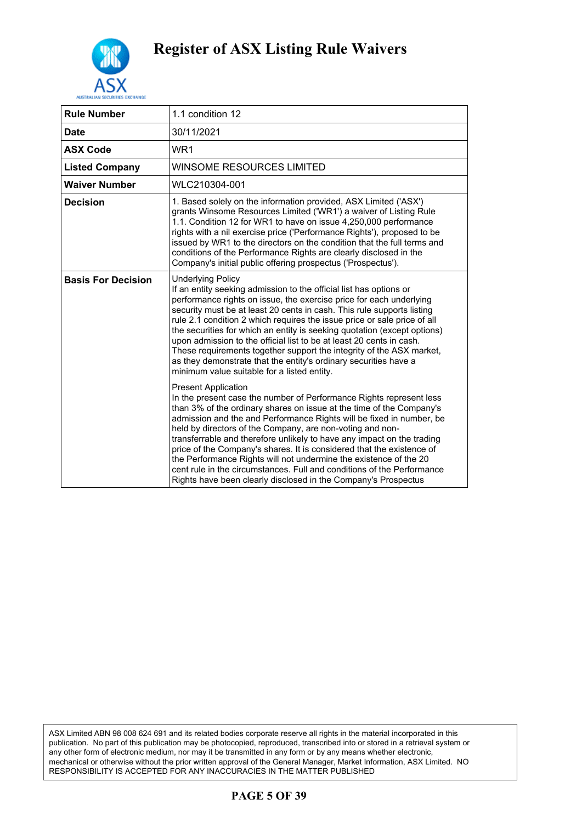

| <b>Rule Number</b>        | 1.1 condition 12                                                                                                                                                                                                                                                                                                                                                                                                                                                                                                                                                                                                                                                                   |
|---------------------------|------------------------------------------------------------------------------------------------------------------------------------------------------------------------------------------------------------------------------------------------------------------------------------------------------------------------------------------------------------------------------------------------------------------------------------------------------------------------------------------------------------------------------------------------------------------------------------------------------------------------------------------------------------------------------------|
| Date                      | 30/11/2021                                                                                                                                                                                                                                                                                                                                                                                                                                                                                                                                                                                                                                                                         |
| <b>ASX Code</b>           | WR1                                                                                                                                                                                                                                                                                                                                                                                                                                                                                                                                                                                                                                                                                |
| <b>Listed Company</b>     | <b>WINSOME RESOURCES LIMITED</b>                                                                                                                                                                                                                                                                                                                                                                                                                                                                                                                                                                                                                                                   |
| <b>Waiver Number</b>      | WLC210304-001                                                                                                                                                                                                                                                                                                                                                                                                                                                                                                                                                                                                                                                                      |
| <b>Decision</b>           | 1. Based solely on the information provided, ASX Limited ('ASX')<br>grants Winsome Resources Limited ('WR1') a waiver of Listing Rule<br>1.1. Condition 12 for WR1 to have on issue 4,250,000 performance<br>rights with a nil exercise price ('Performance Rights'), proposed to be<br>issued by WR1 to the directors on the condition that the full terms and<br>conditions of the Performance Rights are clearly disclosed in the<br>Company's initial public offering prospectus ('Prospectus').                                                                                                                                                                               |
| <b>Basis For Decision</b> | <b>Underlying Policy</b><br>If an entity seeking admission to the official list has options or<br>performance rights on issue, the exercise price for each underlying<br>security must be at least 20 cents in cash. This rule supports listing<br>rule 2.1 condition 2 which requires the issue price or sale price of all<br>the securities for which an entity is seeking quotation (except options)<br>upon admission to the official list to be at least 20 cents in cash.<br>These requirements together support the integrity of the ASX market,<br>as they demonstrate that the entity's ordinary securities have a<br>minimum value suitable for a listed entity.         |
|                           | <b>Present Application</b><br>In the present case the number of Performance Rights represent less<br>than 3% of the ordinary shares on issue at the time of the Company's<br>admission and the and Performance Rights will be fixed in number, be<br>held by directors of the Company, are non-voting and non-<br>transferrable and therefore unlikely to have any impact on the trading<br>price of the Company's shares. It is considered that the existence of<br>the Performance Rights will not undermine the existence of the 20<br>cent rule in the circumstances. Full and conditions of the Performance<br>Rights have been clearly disclosed in the Company's Prospectus |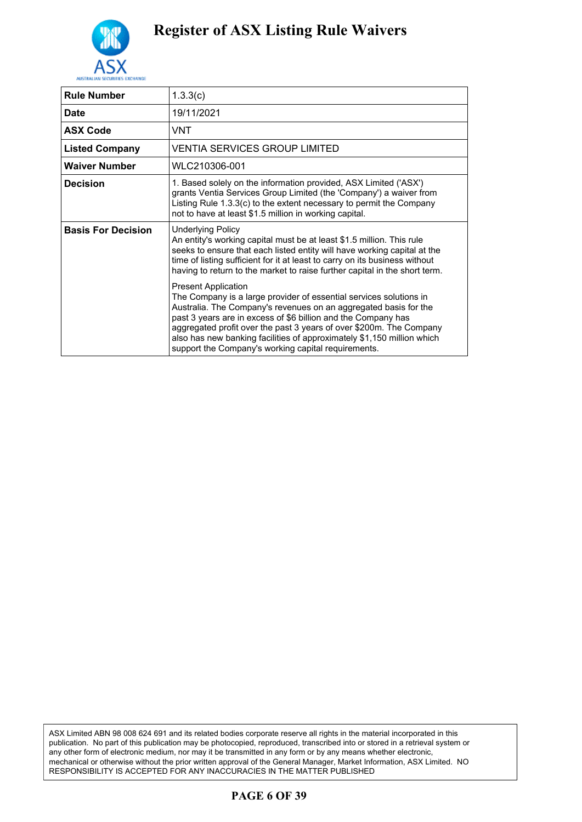

| <b>Rule Number</b>        | 1.3.3(c)                                                                                                                                                                                                                                                                                                                                                                                                                                      |
|---------------------------|-----------------------------------------------------------------------------------------------------------------------------------------------------------------------------------------------------------------------------------------------------------------------------------------------------------------------------------------------------------------------------------------------------------------------------------------------|
| <b>Date</b>               | 19/11/2021                                                                                                                                                                                                                                                                                                                                                                                                                                    |
| <b>ASX Code</b>           | VNT                                                                                                                                                                                                                                                                                                                                                                                                                                           |
| <b>Listed Company</b>     | VENTIA SERVICES GROUP LIMITED                                                                                                                                                                                                                                                                                                                                                                                                                 |
| <b>Waiver Number</b>      | WLC210306-001                                                                                                                                                                                                                                                                                                                                                                                                                                 |
| <b>Decision</b>           | 1. Based solely on the information provided, ASX Limited ('ASX')<br>grants Ventia Services Group Limited (the 'Company') a waiver from<br>Listing Rule 1.3.3(c) to the extent necessary to permit the Company<br>not to have at least \$1.5 million in working capital.                                                                                                                                                                       |
| <b>Basis For Decision</b> | <b>Underlying Policy</b><br>An entity's working capital must be at least \$1.5 million. This rule<br>seeks to ensure that each listed entity will have working capital at the<br>time of listing sufficient for it at least to carry on its business without<br>having to return to the market to raise further capital in the short term.                                                                                                    |
|                           | <b>Present Application</b><br>The Company is a large provider of essential services solutions in<br>Australia. The Company's revenues on an aggregated basis for the<br>past 3 years are in excess of \$6 billion and the Company has<br>aggregated profit over the past 3 years of over \$200m. The Company<br>also has new banking facilities of approximately \$1,150 million which<br>support the Company's working capital requirements. |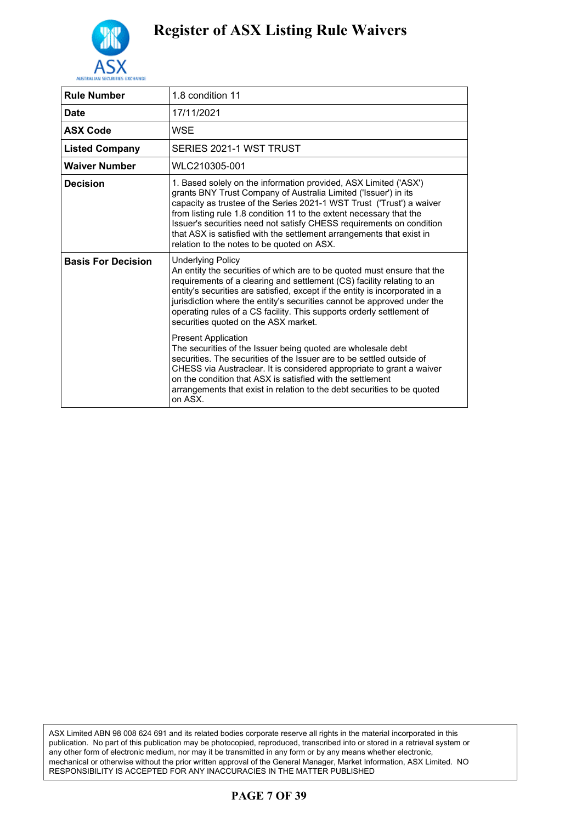

| <b>Rule Number</b>        | 1.8 condition 11                                                                                                                                                                                                                                                                                                                                                                                                                                                                  |
|---------------------------|-----------------------------------------------------------------------------------------------------------------------------------------------------------------------------------------------------------------------------------------------------------------------------------------------------------------------------------------------------------------------------------------------------------------------------------------------------------------------------------|
| <b>Date</b>               | 17/11/2021                                                                                                                                                                                                                                                                                                                                                                                                                                                                        |
| <b>ASX Code</b>           | WSF                                                                                                                                                                                                                                                                                                                                                                                                                                                                               |
| <b>Listed Company</b>     | SERIES 2021-1 WST TRUST                                                                                                                                                                                                                                                                                                                                                                                                                                                           |
| <b>Waiver Number</b>      | WLC210305-001                                                                                                                                                                                                                                                                                                                                                                                                                                                                     |
| <b>Decision</b>           | 1. Based solely on the information provided, ASX Limited ('ASX')<br>grants BNY Trust Company of Australia Limited ('Issuer') in its<br>capacity as trustee of the Series 2021-1 WST Trust ('Trust') a waiver<br>from listing rule 1.8 condition 11 to the extent necessary that the<br>Issuer's securities need not satisfy CHESS requirements on condition<br>that ASX is satisfied with the settlement arrangements that exist in<br>relation to the notes to be quoted on ASX. |
| <b>Basis For Decision</b> | <b>Underlying Policy</b><br>An entity the securities of which are to be quoted must ensure that the<br>requirements of a clearing and settlement (CS) facility relating to an<br>entity's securities are satisfied, except if the entity is incorporated in a<br>jurisdiction where the entity's securities cannot be approved under the<br>operating rules of a CS facility. This supports orderly settlement of<br>securities quoted on the ASX market.                         |
|                           | <b>Present Application</b><br>The securities of the Issuer being quoted are wholesale debt<br>securities. The securities of the Issuer are to be settled outside of<br>CHESS via Austraclear. It is considered appropriate to grant a waiver<br>on the condition that ASX is satisfied with the settlement<br>arrangements that exist in relation to the debt securities to be quoted<br>on ASX.                                                                                  |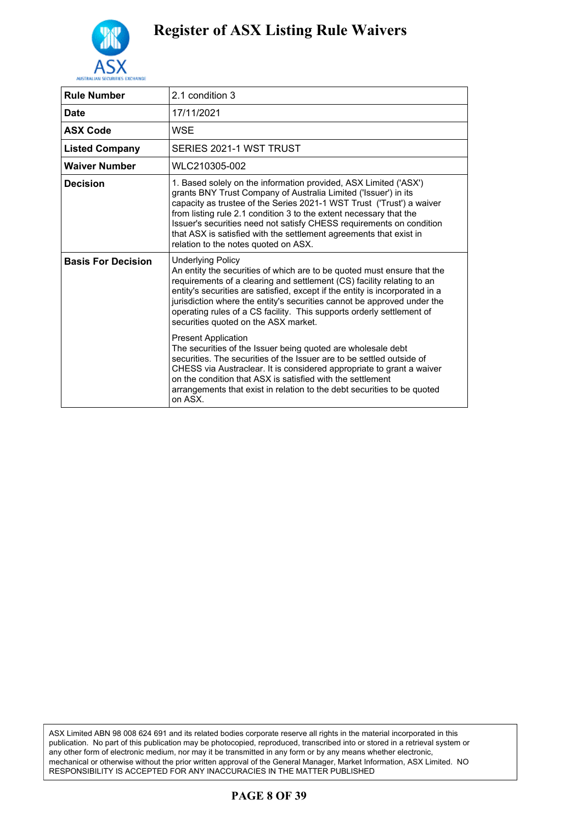

| <b>Rule Number</b>        | 2.1 condition 3                                                                                                                                                                                                                                                                                                                                                                                                                                                                  |
|---------------------------|----------------------------------------------------------------------------------------------------------------------------------------------------------------------------------------------------------------------------------------------------------------------------------------------------------------------------------------------------------------------------------------------------------------------------------------------------------------------------------|
| <b>Date</b>               | 17/11/2021                                                                                                                                                                                                                                                                                                                                                                                                                                                                       |
| <b>ASX Code</b>           | WSE                                                                                                                                                                                                                                                                                                                                                                                                                                                                              |
| <b>Listed Company</b>     | SERIES 2021-1 WST TRUST                                                                                                                                                                                                                                                                                                                                                                                                                                                          |
| <b>Waiver Number</b>      | WLC210305-002                                                                                                                                                                                                                                                                                                                                                                                                                                                                    |
| <b>Decision</b>           | 1. Based solely on the information provided, ASX Limited ('ASX')<br>grants BNY Trust Company of Australia Limited ('Issuer') in its<br>capacity as trustee of the Series 2021-1 WST Trust ('Trust') a waiver<br>from listing rule 2.1 condition 3 to the extent necessary that the<br>Issuer's securities need not satisfy CHESS requirements on condition<br>that ASX is satisfied with the settlement agreements that exist in<br>relation to the notes quoted on ASX.         |
| <b>Basis For Decision</b> | Underlying Policy<br>An entity the securities of which are to be quoted must ensure that the<br>requirements of a clearing and settlement (CS) facility relating to an<br>entity's securities are satisfied, except if the entity is incorporated in a<br>jurisdiction where the entity's securities cannot be approved under the<br>operating rules of a CS facility. This supports orderly settlement of<br>securities quoted on the ASX market.<br><b>Present Application</b> |
|                           | The securities of the Issuer being quoted are wholesale debt<br>securities. The securities of the Issuer are to be settled outside of<br>CHESS via Austraclear. It is considered appropriate to grant a waiver<br>on the condition that ASX is satisfied with the settlement<br>arrangements that exist in relation to the debt securities to be quoted<br>on ASX.                                                                                                               |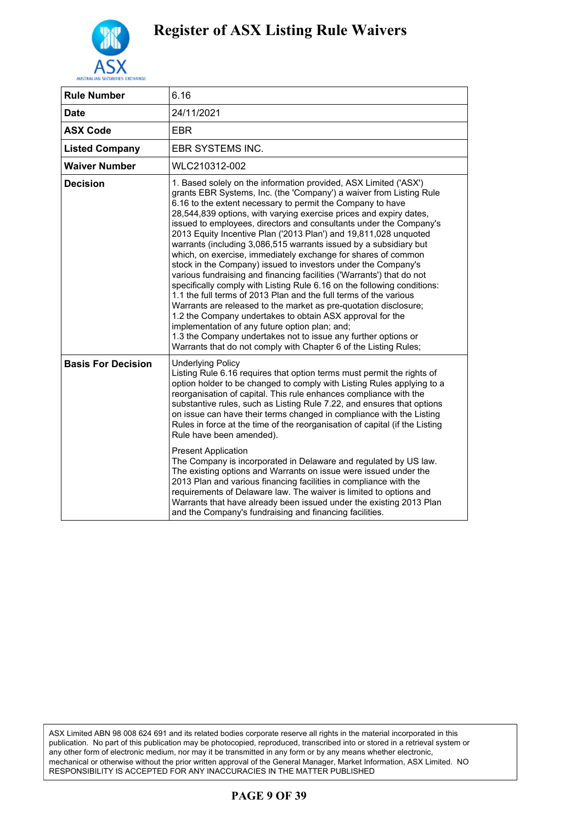

| <b>Rule Number</b>        | 6.16                                                                                                                                                                                                                                                                                                                                                                                                                                                                                                                                                                                                                                                                                                                                                                                                                                                                                                                                                                                                                                                                                                                                                                           |
|---------------------------|--------------------------------------------------------------------------------------------------------------------------------------------------------------------------------------------------------------------------------------------------------------------------------------------------------------------------------------------------------------------------------------------------------------------------------------------------------------------------------------------------------------------------------------------------------------------------------------------------------------------------------------------------------------------------------------------------------------------------------------------------------------------------------------------------------------------------------------------------------------------------------------------------------------------------------------------------------------------------------------------------------------------------------------------------------------------------------------------------------------------------------------------------------------------------------|
| <b>Date</b>               | 24/11/2021                                                                                                                                                                                                                                                                                                                                                                                                                                                                                                                                                                                                                                                                                                                                                                                                                                                                                                                                                                                                                                                                                                                                                                     |
| <b>ASX Code</b>           | <b>EBR</b>                                                                                                                                                                                                                                                                                                                                                                                                                                                                                                                                                                                                                                                                                                                                                                                                                                                                                                                                                                                                                                                                                                                                                                     |
| <b>Listed Company</b>     | EBR SYSTEMS INC.                                                                                                                                                                                                                                                                                                                                                                                                                                                                                                                                                                                                                                                                                                                                                                                                                                                                                                                                                                                                                                                                                                                                                               |
| <b>Waiver Number</b>      | WLC210312-002                                                                                                                                                                                                                                                                                                                                                                                                                                                                                                                                                                                                                                                                                                                                                                                                                                                                                                                                                                                                                                                                                                                                                                  |
| <b>Decision</b>           | 1. Based solely on the information provided, ASX Limited ('ASX')<br>grants EBR Systems, Inc. (the 'Company') a waiver from Listing Rule<br>6.16 to the extent necessary to permit the Company to have<br>28,544,839 options, with varying exercise prices and expiry dates,<br>issued to employees, directors and consultants under the Company's<br>2013 Equity Incentive Plan ('2013 Plan') and 19,811,028 unquoted<br>warrants (including 3,086,515 warrants issued by a subsidiary but<br>which, on exercise, immediately exchange for shares of common<br>stock in the Company) issued to investors under the Company's<br>various fundraising and financing facilities ('Warrants') that do not<br>specifically comply with Listing Rule 6.16 on the following conditions:<br>1.1 the full terms of 2013 Plan and the full terms of the various<br>Warrants are released to the market as pre-quotation disclosure;<br>1.2 the Company undertakes to obtain ASX approval for the<br>implementation of any future option plan; and;<br>1.3 the Company undertakes not to issue any further options or<br>Warrants that do not comply with Chapter 6 of the Listing Rules; |
| <b>Basis For Decision</b> | <b>Underlying Policy</b><br>Listing Rule 6.16 requires that option terms must permit the rights of<br>option holder to be changed to comply with Listing Rules applying to a<br>reorganisation of capital. This rule enhances compliance with the<br>substantive rules, such as Listing Rule 7.22, and ensures that options<br>on issue can have their terms changed in compliance with the Listing<br>Rules in force at the time of the reorganisation of capital (if the Listing<br>Rule have been amended).<br><b>Present Application</b><br>The Company is incorporated in Delaware and regulated by US law.<br>The existing options and Warrants on issue were issued under the<br>2013 Plan and various financing facilities in compliance with the<br>requirements of Delaware law. The waiver is limited to options and<br>Warrants that have already been issued under the existing 2013 Plan<br>and the Company's fundraising and financing facilities.                                                                                                                                                                                                              |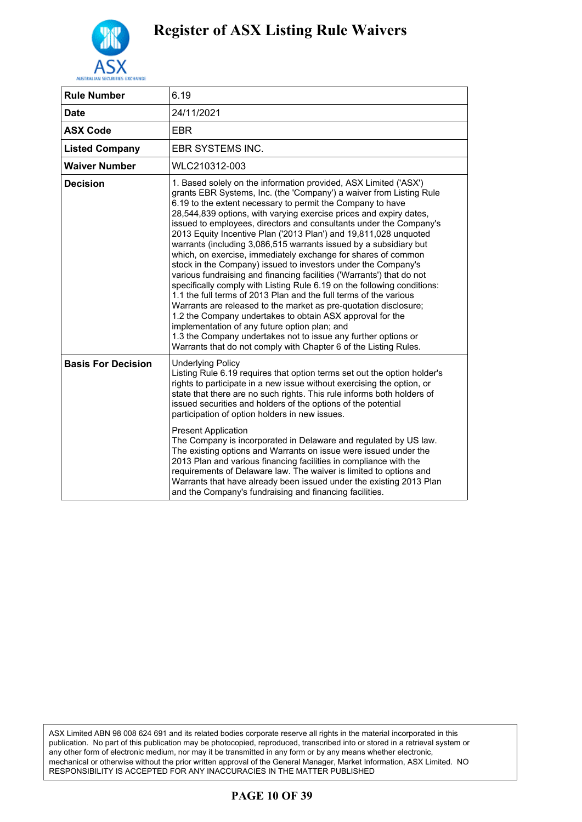

| <b>Rule Number</b>        | 6.19                                                                                                                                                                                                                                                                                                                                                                                                                                                                                                                                                                                                                                                                                                                                                                                                                                                                                                                                                                                                                                                                                                                                                                          |
|---------------------------|-------------------------------------------------------------------------------------------------------------------------------------------------------------------------------------------------------------------------------------------------------------------------------------------------------------------------------------------------------------------------------------------------------------------------------------------------------------------------------------------------------------------------------------------------------------------------------------------------------------------------------------------------------------------------------------------------------------------------------------------------------------------------------------------------------------------------------------------------------------------------------------------------------------------------------------------------------------------------------------------------------------------------------------------------------------------------------------------------------------------------------------------------------------------------------|
| <b>Date</b>               | 24/11/2021                                                                                                                                                                                                                                                                                                                                                                                                                                                                                                                                                                                                                                                                                                                                                                                                                                                                                                                                                                                                                                                                                                                                                                    |
| <b>ASX Code</b>           | <b>EBR</b>                                                                                                                                                                                                                                                                                                                                                                                                                                                                                                                                                                                                                                                                                                                                                                                                                                                                                                                                                                                                                                                                                                                                                                    |
| <b>Listed Company</b>     | EBR SYSTEMS INC.                                                                                                                                                                                                                                                                                                                                                                                                                                                                                                                                                                                                                                                                                                                                                                                                                                                                                                                                                                                                                                                                                                                                                              |
| <b>Waiver Number</b>      | WLC210312-003                                                                                                                                                                                                                                                                                                                                                                                                                                                                                                                                                                                                                                                                                                                                                                                                                                                                                                                                                                                                                                                                                                                                                                 |
| <b>Decision</b>           | 1. Based solely on the information provided, ASX Limited ('ASX')<br>grants EBR Systems, Inc. (the 'Company') a waiver from Listing Rule<br>6.19 to the extent necessary to permit the Company to have<br>28,544,839 options, with varying exercise prices and expiry dates,<br>issued to employees, directors and consultants under the Company's<br>2013 Equity Incentive Plan ('2013 Plan') and 19,811,028 unquoted<br>warrants (including 3,086,515 warrants issued by a subsidiary but<br>which, on exercise, immediately exchange for shares of common<br>stock in the Company) issued to investors under the Company's<br>various fundraising and financing facilities ('Warrants') that do not<br>specifically comply with Listing Rule 6.19 on the following conditions:<br>1.1 the full terms of 2013 Plan and the full terms of the various<br>Warrants are released to the market as pre-quotation disclosure;<br>1.2 the Company undertakes to obtain ASX approval for the<br>implementation of any future option plan; and<br>1.3 the Company undertakes not to issue any further options or<br>Warrants that do not comply with Chapter 6 of the Listing Rules. |
| <b>Basis For Decision</b> | <b>Underlying Policy</b><br>Listing Rule 6.19 requires that option terms set out the option holder's<br>rights to participate in a new issue without exercising the option, or<br>state that there are no such rights. This rule informs both holders of<br>issued securities and holders of the options of the potential<br>participation of option holders in new issues.<br><b>Present Application</b><br>The Company is incorporated in Delaware and regulated by US law.<br>The existing options and Warrants on issue were issued under the<br>2013 Plan and various financing facilities in compliance with the<br>requirements of Delaware law. The waiver is limited to options and<br>Warrants that have already been issued under the existing 2013 Plan<br>and the Company's fundraising and financing facilities.                                                                                                                                                                                                                                                                                                                                                |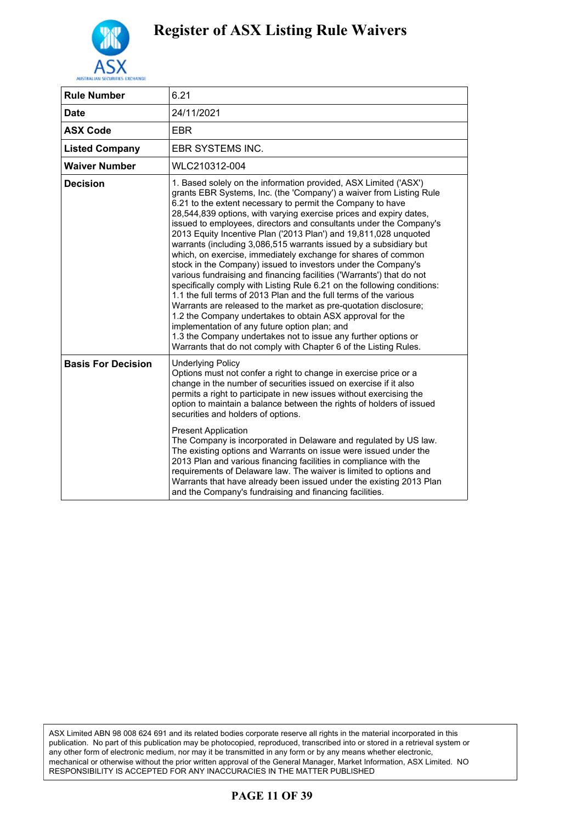

| <b>Rule Number</b>        | 6.21                                                                                                                                                                                                                                                                                                                                                                                                                                                                                                                                                                                                                                                                                                                                                                                                                                                                                                                                                                                                                                                                                                                                                                          |
|---------------------------|-------------------------------------------------------------------------------------------------------------------------------------------------------------------------------------------------------------------------------------------------------------------------------------------------------------------------------------------------------------------------------------------------------------------------------------------------------------------------------------------------------------------------------------------------------------------------------------------------------------------------------------------------------------------------------------------------------------------------------------------------------------------------------------------------------------------------------------------------------------------------------------------------------------------------------------------------------------------------------------------------------------------------------------------------------------------------------------------------------------------------------------------------------------------------------|
| <b>Date</b>               | 24/11/2021                                                                                                                                                                                                                                                                                                                                                                                                                                                                                                                                                                                                                                                                                                                                                                                                                                                                                                                                                                                                                                                                                                                                                                    |
| <b>ASX Code</b>           | <b>EBR</b>                                                                                                                                                                                                                                                                                                                                                                                                                                                                                                                                                                                                                                                                                                                                                                                                                                                                                                                                                                                                                                                                                                                                                                    |
| <b>Listed Company</b>     | <b>EBR SYSTEMS INC.</b>                                                                                                                                                                                                                                                                                                                                                                                                                                                                                                                                                                                                                                                                                                                                                                                                                                                                                                                                                                                                                                                                                                                                                       |
| <b>Waiver Number</b>      | WLC210312-004                                                                                                                                                                                                                                                                                                                                                                                                                                                                                                                                                                                                                                                                                                                                                                                                                                                                                                                                                                                                                                                                                                                                                                 |
| <b>Decision</b>           | 1. Based solely on the information provided, ASX Limited ('ASX')<br>grants EBR Systems, Inc. (the 'Company') a waiver from Listing Rule<br>6.21 to the extent necessary to permit the Company to have<br>28,544,839 options, with varying exercise prices and expiry dates,<br>issued to employees, directors and consultants under the Company's<br>2013 Equity Incentive Plan ('2013 Plan') and 19,811,028 unquoted<br>warrants (including 3,086,515 warrants issued by a subsidiary but<br>which, on exercise, immediately exchange for shares of common<br>stock in the Company) issued to investors under the Company's<br>various fundraising and financing facilities ('Warrants') that do not<br>specifically comply with Listing Rule 6.21 on the following conditions:<br>1.1 the full terms of 2013 Plan and the full terms of the various<br>Warrants are released to the market as pre-quotation disclosure;<br>1.2 the Company undertakes to obtain ASX approval for the<br>implementation of any future option plan; and<br>1.3 the Company undertakes not to issue any further options or<br>Warrants that do not comply with Chapter 6 of the Listing Rules. |
| <b>Basis For Decision</b> | <b>Underlying Policy</b><br>Options must not confer a right to change in exercise price or a<br>change in the number of securities issued on exercise if it also<br>permits a right to participate in new issues without exercising the<br>option to maintain a balance between the rights of holders of issued<br>securities and holders of options.<br><b>Present Application</b><br>The Company is incorporated in Delaware and regulated by US law.<br>The existing options and Warrants on issue were issued under the<br>2013 Plan and various financing facilities in compliance with the<br>requirements of Delaware law. The waiver is limited to options and<br>Warrants that have already been issued under the existing 2013 Plan<br>and the Company's fundraising and financing facilities.                                                                                                                                                                                                                                                                                                                                                                      |

### **PAGE 11 OF 39**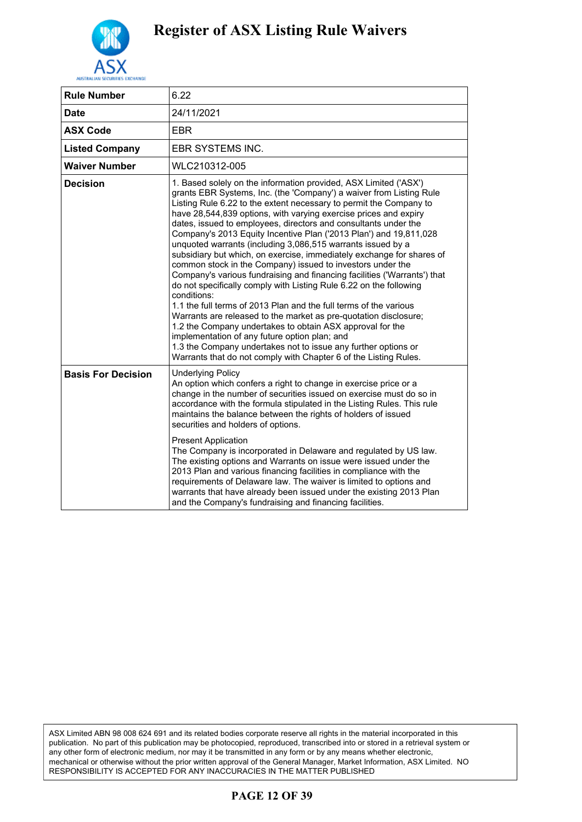

| <b>Rule Number</b>        | 6.22                                                                                                                                                                                                                                                                                                                                                                                                                                                                                                                                                                                                                                                                                                                                                                                                                                                                                                                                                                                                                                                                                                                                                                                          |
|---------------------------|-----------------------------------------------------------------------------------------------------------------------------------------------------------------------------------------------------------------------------------------------------------------------------------------------------------------------------------------------------------------------------------------------------------------------------------------------------------------------------------------------------------------------------------------------------------------------------------------------------------------------------------------------------------------------------------------------------------------------------------------------------------------------------------------------------------------------------------------------------------------------------------------------------------------------------------------------------------------------------------------------------------------------------------------------------------------------------------------------------------------------------------------------------------------------------------------------|
| <b>Date</b>               | 24/11/2021                                                                                                                                                                                                                                                                                                                                                                                                                                                                                                                                                                                                                                                                                                                                                                                                                                                                                                                                                                                                                                                                                                                                                                                    |
| <b>ASX Code</b>           | <b>EBR</b>                                                                                                                                                                                                                                                                                                                                                                                                                                                                                                                                                                                                                                                                                                                                                                                                                                                                                                                                                                                                                                                                                                                                                                                    |
| <b>Listed Company</b>     | EBR SYSTEMS INC.                                                                                                                                                                                                                                                                                                                                                                                                                                                                                                                                                                                                                                                                                                                                                                                                                                                                                                                                                                                                                                                                                                                                                                              |
| <b>Waiver Number</b>      | WLC210312-005                                                                                                                                                                                                                                                                                                                                                                                                                                                                                                                                                                                                                                                                                                                                                                                                                                                                                                                                                                                                                                                                                                                                                                                 |
| <b>Decision</b>           | 1. Based solely on the information provided, ASX Limited ('ASX')<br>grants EBR Systems, Inc. (the 'Company') a waiver from Listing Rule<br>Listing Rule 6.22 to the extent necessary to permit the Company to<br>have 28,544,839 options, with varying exercise prices and expiry<br>dates, issued to employees, directors and consultants under the<br>Company's 2013 Equity Incentive Plan ('2013 Plan') and 19,811,028<br>unquoted warrants (including 3,086,515 warrants issued by a<br>subsidiary but which, on exercise, immediately exchange for shares of<br>common stock in the Company) issued to investors under the<br>Company's various fundraising and financing facilities ('Warrants') that<br>do not specifically comply with Listing Rule 6.22 on the following<br>conditions:<br>1.1 the full terms of 2013 Plan and the full terms of the various<br>Warrants are released to the market as pre-quotation disclosure;<br>1.2 the Company undertakes to obtain ASX approval for the<br>implementation of any future option plan; and<br>1.3 the Company undertakes not to issue any further options or<br>Warrants that do not comply with Chapter 6 of the Listing Rules. |
| <b>Basis For Decision</b> | <b>Underlying Policy</b><br>An option which confers a right to change in exercise price or a<br>change in the number of securities issued on exercise must do so in<br>accordance with the formula stipulated in the Listing Rules. This rule<br>maintains the balance between the rights of holders of issued<br>securities and holders of options.<br><b>Present Application</b><br>The Company is incorporated in Delaware and regulated by US law.<br>The existing options and Warrants on issue were issued under the<br>2013 Plan and various financing facilities in compliance with the<br>requirements of Delaware law. The waiver is limited to options and<br>warrants that have already been issued under the existing 2013 Plan<br>and the Company's fundraising and financing facilities.                                                                                                                                                                                                                                                                                                                                                                                       |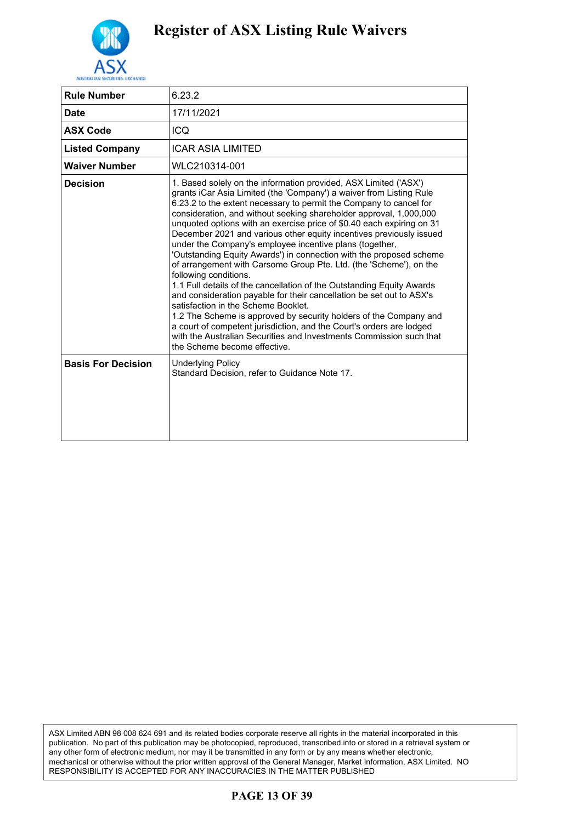

| <b>Rule Number</b>        | 6.23.2                                                                                                                                                                                                                                                                                                                                                                                                                                                                                                                                                                                                                                                                                                                                                                                                                                                                                                                                                                                                                                                                                                           |
|---------------------------|------------------------------------------------------------------------------------------------------------------------------------------------------------------------------------------------------------------------------------------------------------------------------------------------------------------------------------------------------------------------------------------------------------------------------------------------------------------------------------------------------------------------------------------------------------------------------------------------------------------------------------------------------------------------------------------------------------------------------------------------------------------------------------------------------------------------------------------------------------------------------------------------------------------------------------------------------------------------------------------------------------------------------------------------------------------------------------------------------------------|
| <b>Date</b>               | 17/11/2021                                                                                                                                                                                                                                                                                                                                                                                                                                                                                                                                                                                                                                                                                                                                                                                                                                                                                                                                                                                                                                                                                                       |
| <b>ASX Code</b>           | ICQ                                                                                                                                                                                                                                                                                                                                                                                                                                                                                                                                                                                                                                                                                                                                                                                                                                                                                                                                                                                                                                                                                                              |
| <b>Listed Company</b>     | <b>ICAR ASIA LIMITED</b>                                                                                                                                                                                                                                                                                                                                                                                                                                                                                                                                                                                                                                                                                                                                                                                                                                                                                                                                                                                                                                                                                         |
| <b>Waiver Number</b>      | WLC210314-001                                                                                                                                                                                                                                                                                                                                                                                                                                                                                                                                                                                                                                                                                                                                                                                                                                                                                                                                                                                                                                                                                                    |
| <b>Decision</b>           | 1. Based solely on the information provided, ASX Limited ('ASX')<br>grants iCar Asia Limited (the 'Company') a waiver from Listing Rule<br>6.23.2 to the extent necessary to permit the Company to cancel for<br>consideration, and without seeking shareholder approval, 1,000,000<br>unquoted options with an exercise price of \$0.40 each expiring on 31<br>December 2021 and various other equity incentives previously issued<br>under the Company's employee incentive plans (together,<br>'Outstanding Equity Awards') in connection with the proposed scheme<br>of arrangement with Carsome Group Pte. Ltd. (the 'Scheme'), on the<br>following conditions.<br>1.1 Full details of the cancellation of the Outstanding Equity Awards<br>and consideration payable for their cancellation be set out to ASX's<br>satisfaction in the Scheme Booklet.<br>1.2 The Scheme is approved by security holders of the Company and<br>a court of competent jurisdiction, and the Court's orders are lodged<br>with the Australian Securities and Investments Commission such that<br>the Scheme become effective. |
| <b>Basis For Decision</b> | <b>Underlying Policy</b><br>Standard Decision, refer to Guidance Note 17.                                                                                                                                                                                                                                                                                                                                                                                                                                                                                                                                                                                                                                                                                                                                                                                                                                                                                                                                                                                                                                        |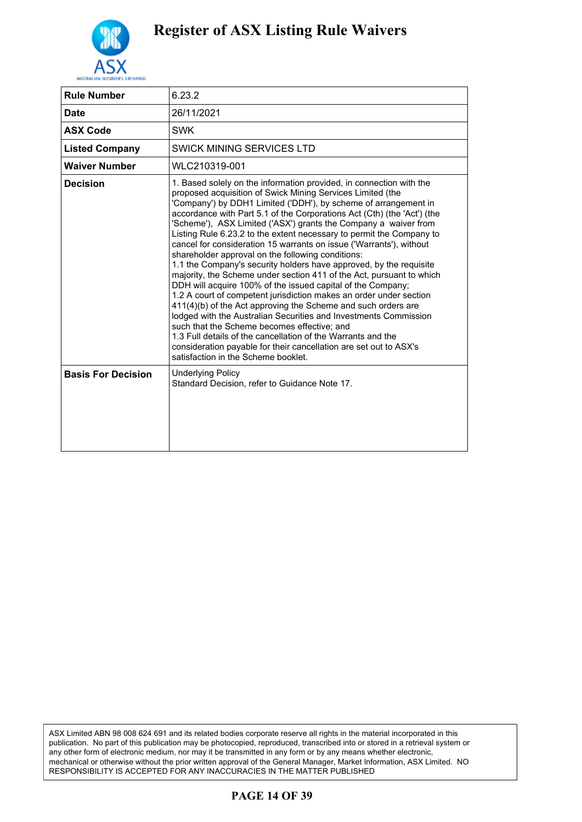

| <b>Rule Number</b>        | 6.23.2                                                                                                                                                                                                                                                                                                                                                                                                                                                                                                                                                                                                                                                                                                                                                                                                                                                                                                                                                                                                                                                                                                                                                                                                    |
|---------------------------|-----------------------------------------------------------------------------------------------------------------------------------------------------------------------------------------------------------------------------------------------------------------------------------------------------------------------------------------------------------------------------------------------------------------------------------------------------------------------------------------------------------------------------------------------------------------------------------------------------------------------------------------------------------------------------------------------------------------------------------------------------------------------------------------------------------------------------------------------------------------------------------------------------------------------------------------------------------------------------------------------------------------------------------------------------------------------------------------------------------------------------------------------------------------------------------------------------------|
| <b>Date</b>               | 26/11/2021                                                                                                                                                                                                                                                                                                                                                                                                                                                                                                                                                                                                                                                                                                                                                                                                                                                                                                                                                                                                                                                                                                                                                                                                |
| <b>ASX Code</b>           | <b>SWK</b>                                                                                                                                                                                                                                                                                                                                                                                                                                                                                                                                                                                                                                                                                                                                                                                                                                                                                                                                                                                                                                                                                                                                                                                                |
| <b>Listed Company</b>     | <b>SWICK MINING SERVICES LTD</b>                                                                                                                                                                                                                                                                                                                                                                                                                                                                                                                                                                                                                                                                                                                                                                                                                                                                                                                                                                                                                                                                                                                                                                          |
| <b>Waiver Number</b>      | WLC210319-001                                                                                                                                                                                                                                                                                                                                                                                                                                                                                                                                                                                                                                                                                                                                                                                                                                                                                                                                                                                                                                                                                                                                                                                             |
| <b>Decision</b>           | 1. Based solely on the information provided, in connection with the<br>proposed acquisition of Swick Mining Services Limited (the<br>'Company') by DDH1 Limited ('DDH'), by scheme of arrangement in<br>accordance with Part 5.1 of the Corporations Act (Cth) (the 'Act') (the<br>'Scheme'), ASX Limited ('ASX') grants the Company a waiver from<br>Listing Rule 6.23.2 to the extent necessary to permit the Company to<br>cancel for consideration 15 warrants on issue ('Warrants'), without<br>shareholder approval on the following conditions:<br>1.1 the Company's security holders have approved, by the requisite<br>majority, the Scheme under section 411 of the Act, pursuant to which<br>DDH will acquire 100% of the issued capital of the Company;<br>1.2 A court of competent jurisdiction makes an order under section<br>411(4)(b) of the Act approving the Scheme and such orders are<br>lodged with the Australian Securities and Investments Commission<br>such that the Scheme becomes effective; and<br>1.3 Full details of the cancellation of the Warrants and the<br>consideration payable for their cancellation are set out to ASX's<br>satisfaction in the Scheme booklet. |
| <b>Basis For Decision</b> | <b>Underlying Policy</b><br>Standard Decision, refer to Guidance Note 17.                                                                                                                                                                                                                                                                                                                                                                                                                                                                                                                                                                                                                                                                                                                                                                                                                                                                                                                                                                                                                                                                                                                                 |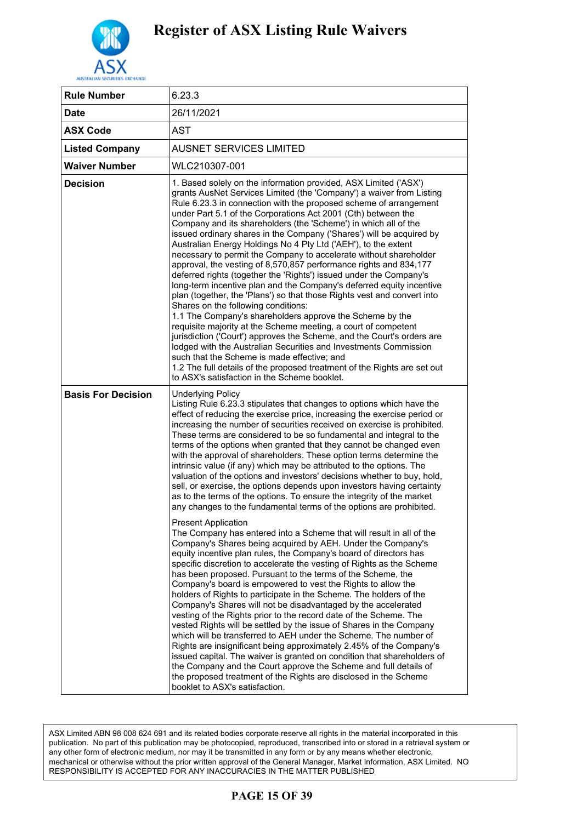

| <b>Rule Number</b>        | 6.23.3                                                                                                                                                                                                                                                                                                                                                                                                                                                                                                                                                                                                                                                                                                                                                                                                                                                                                                                                                                                                                                                                                                                                                                                                                                                                                                                                                                                                                                                                                                                                                                                                                                                                                                                                                                                                                                                                                                                                                                                         |
|---------------------------|------------------------------------------------------------------------------------------------------------------------------------------------------------------------------------------------------------------------------------------------------------------------------------------------------------------------------------------------------------------------------------------------------------------------------------------------------------------------------------------------------------------------------------------------------------------------------------------------------------------------------------------------------------------------------------------------------------------------------------------------------------------------------------------------------------------------------------------------------------------------------------------------------------------------------------------------------------------------------------------------------------------------------------------------------------------------------------------------------------------------------------------------------------------------------------------------------------------------------------------------------------------------------------------------------------------------------------------------------------------------------------------------------------------------------------------------------------------------------------------------------------------------------------------------------------------------------------------------------------------------------------------------------------------------------------------------------------------------------------------------------------------------------------------------------------------------------------------------------------------------------------------------------------------------------------------------------------------------------------------------|
| <b>Date</b>               | 26/11/2021                                                                                                                                                                                                                                                                                                                                                                                                                                                                                                                                                                                                                                                                                                                                                                                                                                                                                                                                                                                                                                                                                                                                                                                                                                                                                                                                                                                                                                                                                                                                                                                                                                                                                                                                                                                                                                                                                                                                                                                     |
| <b>ASX Code</b>           | AST                                                                                                                                                                                                                                                                                                                                                                                                                                                                                                                                                                                                                                                                                                                                                                                                                                                                                                                                                                                                                                                                                                                                                                                                                                                                                                                                                                                                                                                                                                                                                                                                                                                                                                                                                                                                                                                                                                                                                                                            |
| <b>Listed Company</b>     | <b>AUSNET SERVICES LIMITED</b>                                                                                                                                                                                                                                                                                                                                                                                                                                                                                                                                                                                                                                                                                                                                                                                                                                                                                                                                                                                                                                                                                                                                                                                                                                                                                                                                                                                                                                                                                                                                                                                                                                                                                                                                                                                                                                                                                                                                                                 |
| <b>Waiver Number</b>      | WLC210307-001                                                                                                                                                                                                                                                                                                                                                                                                                                                                                                                                                                                                                                                                                                                                                                                                                                                                                                                                                                                                                                                                                                                                                                                                                                                                                                                                                                                                                                                                                                                                                                                                                                                                                                                                                                                                                                                                                                                                                                                  |
| <b>Decision</b>           | 1. Based solely on the information provided, ASX Limited ('ASX')<br>grants AusNet Services Limited (the 'Company') a waiver from Listing<br>Rule 6.23.3 in connection with the proposed scheme of arrangement<br>under Part 5.1 of the Corporations Act 2001 (Cth) between the<br>Company and its shareholders (the 'Scheme') in which all of the<br>issued ordinary shares in the Company ('Shares') will be acquired by<br>Australian Energy Holdings No 4 Pty Ltd ('AEH'), to the extent<br>necessary to permit the Company to accelerate without shareholder<br>approval, the vesting of 8,570,857 performance rights and 834,177<br>deferred rights (together the 'Rights') issued under the Company's<br>long-term incentive plan and the Company's deferred equity incentive<br>plan (together, the 'Plans') so that those Rights vest and convert into<br>Shares on the following conditions:<br>1.1 The Company's shareholders approve the Scheme by the<br>requisite majority at the Scheme meeting, a court of competent<br>jurisdiction ('Court') approves the Scheme, and the Court's orders are<br>lodged with the Australian Securities and Investments Commission<br>such that the Scheme is made effective; and<br>1.2 The full details of the proposed treatment of the Rights are set out<br>to ASX's satisfaction in the Scheme booklet.                                                                                                                                                                                                                                                                                                                                                                                                                                                                                                                                                                                                                                   |
| <b>Basis For Decision</b> | <b>Underlying Policy</b><br>Listing Rule 6.23.3 stipulates that changes to options which have the<br>effect of reducing the exercise price, increasing the exercise period or<br>increasing the number of securities received on exercise is prohibited.<br>These terms are considered to be so fundamental and integral to the<br>terms of the options when granted that they cannot be changed even<br>with the approval of shareholders. These option terms determine the<br>intrinsic value (if any) which may be attributed to the options. The<br>valuation of the options and investors' decisions whether to buy, hold,<br>sell, or exercise, the options depends upon investors having certainty<br>as to the terms of the options. To ensure the integrity of the market<br>any changes to the fundamental terms of the options are prohibited.<br><b>Present Application</b><br>The Company has entered into a Scheme that will result in all of the<br>Company's Shares being acquired by AEH. Under the Company's<br>equity incentive plan rules, the Company's board of directors has<br>specific discretion to accelerate the vesting of Rights as the Scheme<br>has been proposed. Pursuant to the terms of the Scheme, the<br>Company's board is empowered to vest the Rights to allow the<br>holders of Rights to participate in the Scheme. The holders of the<br>Company's Shares will not be disadvantaged by the accelerated<br>vesting of the Rights prior to the record date of the Scheme. The<br>vested Rights will be settled by the issue of Shares in the Company<br>which will be transferred to AEH under the Scheme. The number of<br>Rights are insignificant being approximately 2.45% of the Company's<br>issued capital. The waiver is granted on condition that shareholders of<br>the Company and the Court approve the Scheme and full details of<br>the proposed treatment of the Rights are disclosed in the Scheme<br>booklet to ASX's satisfaction. |

### **PAGE 15 OF 39**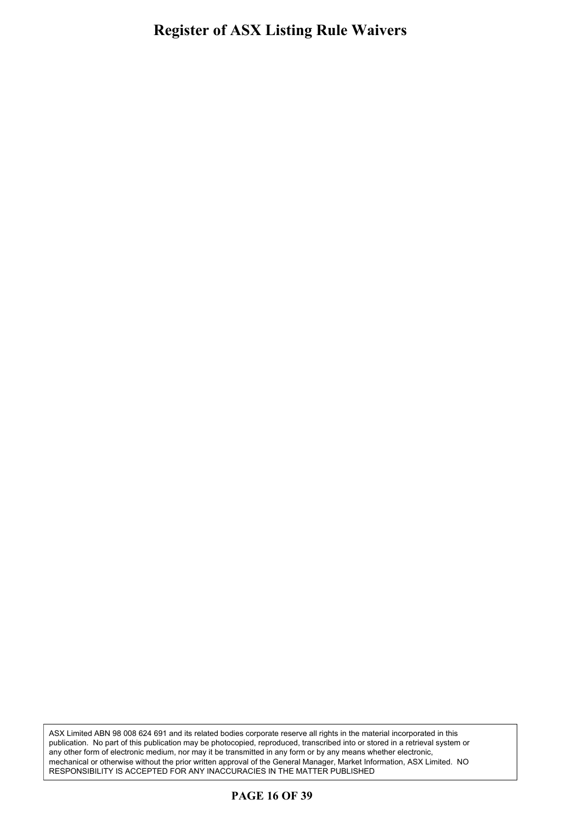ASX Limited ABN 98 008 624 691 and its related bodies corporate reserve all rights in the material incorporated in this publication. No part of this publication may be photocopied, reproduced, transcribed into or stored in a retrieval system or any other form of electronic medium, nor may it be transmitted in any form or by any means whether electronic, mechanical or otherwise without the prior written approval of the General Manager, Market Information, ASX Limited. NO RESPONSIBILITY IS ACCEPTED FOR ANY INACCURACIES IN THE MATTER PUBLISHED

### **PAGE 16 OF 39**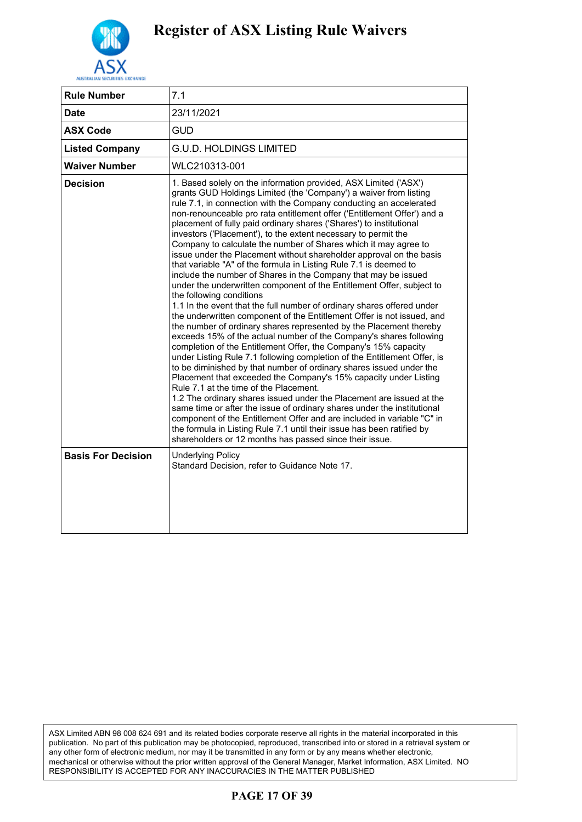

| <b>Rule Number</b>        | 7.1                                                                                                                                                                                                                                                                                                                                                                                                                                                                                                                                                                                                                                                                                                                                                                                                                                                                                                                                                                                                                                                                                                                                                                                                                                                                                                                                                                                                                                                                                                                                                                                                                                                                                                                                                                                                                         |
|---------------------------|-----------------------------------------------------------------------------------------------------------------------------------------------------------------------------------------------------------------------------------------------------------------------------------------------------------------------------------------------------------------------------------------------------------------------------------------------------------------------------------------------------------------------------------------------------------------------------------------------------------------------------------------------------------------------------------------------------------------------------------------------------------------------------------------------------------------------------------------------------------------------------------------------------------------------------------------------------------------------------------------------------------------------------------------------------------------------------------------------------------------------------------------------------------------------------------------------------------------------------------------------------------------------------------------------------------------------------------------------------------------------------------------------------------------------------------------------------------------------------------------------------------------------------------------------------------------------------------------------------------------------------------------------------------------------------------------------------------------------------------------------------------------------------------------------------------------------------|
| <b>Date</b>               | 23/11/2021                                                                                                                                                                                                                                                                                                                                                                                                                                                                                                                                                                                                                                                                                                                                                                                                                                                                                                                                                                                                                                                                                                                                                                                                                                                                                                                                                                                                                                                                                                                                                                                                                                                                                                                                                                                                                  |
| <b>ASX Code</b>           | <b>GUD</b>                                                                                                                                                                                                                                                                                                                                                                                                                                                                                                                                                                                                                                                                                                                                                                                                                                                                                                                                                                                                                                                                                                                                                                                                                                                                                                                                                                                                                                                                                                                                                                                                                                                                                                                                                                                                                  |
| <b>Listed Company</b>     | <b>G.U.D. HOLDINGS LIMITED</b>                                                                                                                                                                                                                                                                                                                                                                                                                                                                                                                                                                                                                                                                                                                                                                                                                                                                                                                                                                                                                                                                                                                                                                                                                                                                                                                                                                                                                                                                                                                                                                                                                                                                                                                                                                                              |
| <b>Waiver Number</b>      | WLC210313-001                                                                                                                                                                                                                                                                                                                                                                                                                                                                                                                                                                                                                                                                                                                                                                                                                                                                                                                                                                                                                                                                                                                                                                                                                                                                                                                                                                                                                                                                                                                                                                                                                                                                                                                                                                                                               |
| <b>Decision</b>           | 1. Based solely on the information provided, ASX Limited ('ASX')<br>grants GUD Holdings Limited (the 'Company') a waiver from listing<br>rule 7.1, in connection with the Company conducting an accelerated<br>non-renounceable pro rata entitlement offer ('Entitlement Offer') and a<br>placement of fully paid ordinary shares ('Shares') to institutional<br>investors ('Placement'), to the extent necessary to permit the<br>Company to calculate the number of Shares which it may agree to<br>issue under the Placement without shareholder approval on the basis<br>that variable "A" of the formula in Listing Rule 7.1 is deemed to<br>include the number of Shares in the Company that may be issued<br>under the underwritten component of the Entitlement Offer, subject to<br>the following conditions<br>1.1 In the event that the full number of ordinary shares offered under<br>the underwritten component of the Entitlement Offer is not issued, and<br>the number of ordinary shares represented by the Placement thereby<br>exceeds 15% of the actual number of the Company's shares following<br>completion of the Entitlement Offer, the Company's 15% capacity<br>under Listing Rule 7.1 following completion of the Entitlement Offer, is<br>to be diminished by that number of ordinary shares issued under the<br>Placement that exceeded the Company's 15% capacity under Listing<br>Rule 7.1 at the time of the Placement.<br>1.2 The ordinary shares issued under the Placement are issued at the<br>same time or after the issue of ordinary shares under the institutional<br>component of the Entitlement Offer and are included in variable "C" in<br>the formula in Listing Rule 7.1 until their issue has been ratified by<br>shareholders or 12 months has passed since their issue. |
| <b>Basis For Decision</b> | <b>Underlying Policy</b><br>Standard Decision, refer to Guidance Note 17.                                                                                                                                                                                                                                                                                                                                                                                                                                                                                                                                                                                                                                                                                                                                                                                                                                                                                                                                                                                                                                                                                                                                                                                                                                                                                                                                                                                                                                                                                                                                                                                                                                                                                                                                                   |

### **PAGE 17 OF 39**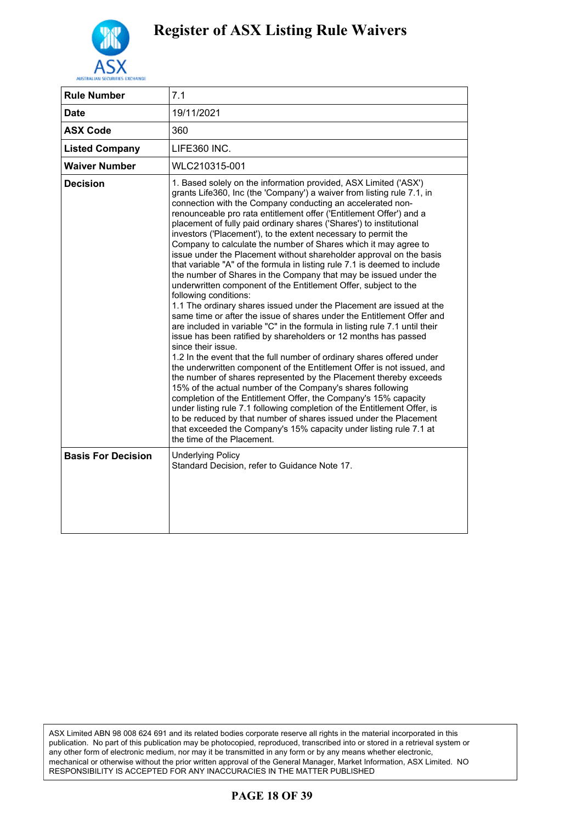

| <b>Rule Number</b>        | 7.1                                                                                                                                                                                                                                                                                                                                                                                                                                                                                                                                                                                                                                                                                                                                                                                                                                                                                                                                                                                                                                                                                                                                                                                                                                                                                                                                                                                                                                                                                                                                                                                                                                                                                                                                                      |
|---------------------------|----------------------------------------------------------------------------------------------------------------------------------------------------------------------------------------------------------------------------------------------------------------------------------------------------------------------------------------------------------------------------------------------------------------------------------------------------------------------------------------------------------------------------------------------------------------------------------------------------------------------------------------------------------------------------------------------------------------------------------------------------------------------------------------------------------------------------------------------------------------------------------------------------------------------------------------------------------------------------------------------------------------------------------------------------------------------------------------------------------------------------------------------------------------------------------------------------------------------------------------------------------------------------------------------------------------------------------------------------------------------------------------------------------------------------------------------------------------------------------------------------------------------------------------------------------------------------------------------------------------------------------------------------------------------------------------------------------------------------------------------------------|
| <b>Date</b>               | 19/11/2021                                                                                                                                                                                                                                                                                                                                                                                                                                                                                                                                                                                                                                                                                                                                                                                                                                                                                                                                                                                                                                                                                                                                                                                                                                                                                                                                                                                                                                                                                                                                                                                                                                                                                                                                               |
| <b>ASX Code</b>           | 360                                                                                                                                                                                                                                                                                                                                                                                                                                                                                                                                                                                                                                                                                                                                                                                                                                                                                                                                                                                                                                                                                                                                                                                                                                                                                                                                                                                                                                                                                                                                                                                                                                                                                                                                                      |
| <b>Listed Company</b>     | LIFE360 INC.                                                                                                                                                                                                                                                                                                                                                                                                                                                                                                                                                                                                                                                                                                                                                                                                                                                                                                                                                                                                                                                                                                                                                                                                                                                                                                                                                                                                                                                                                                                                                                                                                                                                                                                                             |
| <b>Waiver Number</b>      | WLC210315-001                                                                                                                                                                                                                                                                                                                                                                                                                                                                                                                                                                                                                                                                                                                                                                                                                                                                                                                                                                                                                                                                                                                                                                                                                                                                                                                                                                                                                                                                                                                                                                                                                                                                                                                                            |
| <b>Decision</b>           | 1. Based solely on the information provided, ASX Limited ('ASX')<br>grants Life360, Inc (the 'Company') a waiver from listing rule 7.1, in<br>connection with the Company conducting an accelerated non-<br>renounceable pro rata entitlement offer ('Entitlement Offer') and a<br>placement of fully paid ordinary shares ('Shares') to institutional<br>investors ('Placement'), to the extent necessary to permit the<br>Company to calculate the number of Shares which it may agree to<br>issue under the Placement without shareholder approval on the basis<br>that variable "A" of the formula in listing rule 7.1 is deemed to include<br>the number of Shares in the Company that may be issued under the<br>underwritten component of the Entitlement Offer, subject to the<br>following conditions:<br>1.1 The ordinary shares issued under the Placement are issued at the<br>same time or after the issue of shares under the Entitlement Offer and<br>are included in variable "C" in the formula in listing rule 7.1 until their<br>issue has been ratified by shareholders or 12 months has passed<br>since their issue.<br>1.2 In the event that the full number of ordinary shares offered under<br>the underwritten component of the Entitlement Offer is not issued, and<br>the number of shares represented by the Placement thereby exceeds<br>15% of the actual number of the Company's shares following<br>completion of the Entitlement Offer, the Company's 15% capacity<br>under listing rule 7.1 following completion of the Entitlement Offer, is<br>to be reduced by that number of shares issued under the Placement<br>that exceeded the Company's 15% capacity under listing rule 7.1 at<br>the time of the Placement. |
| <b>Basis For Decision</b> | <b>Underlying Policy</b><br>Standard Decision, refer to Guidance Note 17.                                                                                                                                                                                                                                                                                                                                                                                                                                                                                                                                                                                                                                                                                                                                                                                                                                                                                                                                                                                                                                                                                                                                                                                                                                                                                                                                                                                                                                                                                                                                                                                                                                                                                |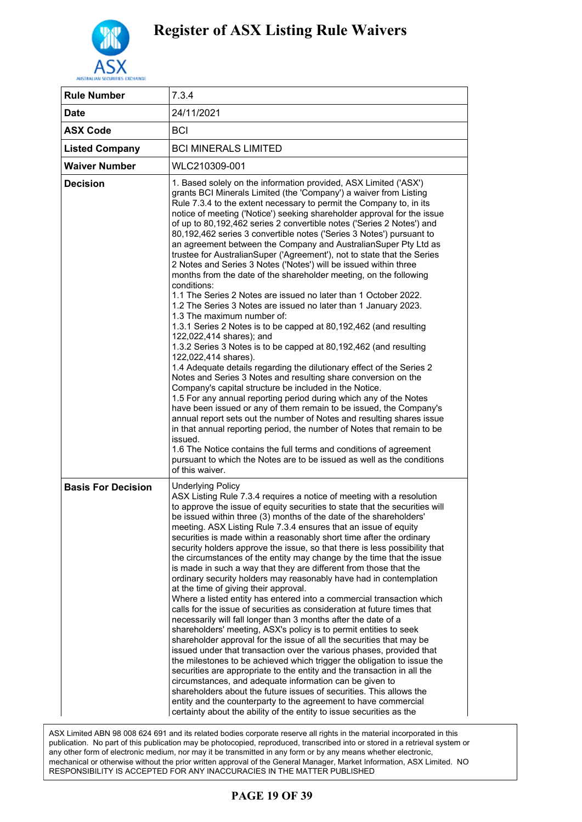

| <b>Rule Number</b>        | 7.3.4                                                                                                                                                                                                                                                                                                                                                                                                                                                                                                                                                                                                                                                                                                                                                                                                                                                                                                                                                                                                                                                                                                                                                                                                                                                                                                                                                                                                                                                                                                                                                                                                                                                                                                                                                                                             |
|---------------------------|---------------------------------------------------------------------------------------------------------------------------------------------------------------------------------------------------------------------------------------------------------------------------------------------------------------------------------------------------------------------------------------------------------------------------------------------------------------------------------------------------------------------------------------------------------------------------------------------------------------------------------------------------------------------------------------------------------------------------------------------------------------------------------------------------------------------------------------------------------------------------------------------------------------------------------------------------------------------------------------------------------------------------------------------------------------------------------------------------------------------------------------------------------------------------------------------------------------------------------------------------------------------------------------------------------------------------------------------------------------------------------------------------------------------------------------------------------------------------------------------------------------------------------------------------------------------------------------------------------------------------------------------------------------------------------------------------------------------------------------------------------------------------------------------------|
| <b>Date</b>               | 24/11/2021                                                                                                                                                                                                                                                                                                                                                                                                                                                                                                                                                                                                                                                                                                                                                                                                                                                                                                                                                                                                                                                                                                                                                                                                                                                                                                                                                                                                                                                                                                                                                                                                                                                                                                                                                                                        |
| <b>ASX Code</b>           | <b>BCI</b>                                                                                                                                                                                                                                                                                                                                                                                                                                                                                                                                                                                                                                                                                                                                                                                                                                                                                                                                                                                                                                                                                                                                                                                                                                                                                                                                                                                                                                                                                                                                                                                                                                                                                                                                                                                        |
| <b>Listed Company</b>     | <b>BCI MINERALS LIMITED</b>                                                                                                                                                                                                                                                                                                                                                                                                                                                                                                                                                                                                                                                                                                                                                                                                                                                                                                                                                                                                                                                                                                                                                                                                                                                                                                                                                                                                                                                                                                                                                                                                                                                                                                                                                                       |
| <b>Waiver Number</b>      | WLC210309-001                                                                                                                                                                                                                                                                                                                                                                                                                                                                                                                                                                                                                                                                                                                                                                                                                                                                                                                                                                                                                                                                                                                                                                                                                                                                                                                                                                                                                                                                                                                                                                                                                                                                                                                                                                                     |
| <b>Decision</b>           | 1. Based solely on the information provided, ASX Limited ('ASX')<br>grants BCI Minerals Limited (the 'Company') a waiver from Listing<br>Rule 7.3.4 to the extent necessary to permit the Company to, in its<br>notice of meeting ('Notice') seeking shareholder approval for the issue<br>of up to 80,192,462 series 2 convertible notes ('Series 2 Notes') and<br>80,192,462 series 3 convertible notes ('Series 3 Notes') pursuant to<br>an agreement between the Company and AustralianSuper Pty Ltd as<br>trustee for AustralianSuper ('Agreement'), not to state that the Series<br>2 Notes and Series 3 Notes ('Notes') will be issued within three<br>months from the date of the shareholder meeting, on the following<br>conditions:<br>1.1 The Series 2 Notes are issued no later than 1 October 2022.<br>1.2 The Series 3 Notes are issued no later than 1 January 2023.<br>1.3 The maximum number of:<br>1.3.1 Series 2 Notes is to be capped at 80,192,462 (and resulting<br>122,022,414 shares); and<br>1.3.2 Series 3 Notes is to be capped at 80,192,462 (and resulting<br>122,022,414 shares).<br>1.4 Adequate details regarding the dilutionary effect of the Series 2<br>Notes and Series 3 Notes and resulting share conversion on the<br>Company's capital structure be included in the Notice.<br>1.5 For any annual reporting period during which any of the Notes<br>have been issued or any of them remain to be issued, the Company's<br>annual report sets out the number of Notes and resulting shares issue<br>in that annual reporting period, the number of Notes that remain to be<br>issued.<br>1.6 The Notice contains the full terms and conditions of agreement<br>pursuant to which the Notes are to be issued as well as the conditions<br>of this waiver. |
| <b>Basis For Decision</b> | <b>Underlying Policy</b><br>ASX Listing Rule 7.3.4 requires a notice of meeting with a resolution<br>to approve the issue of equity securities to state that the securities will<br>be issued within three (3) months of the date of the shareholders'<br>meeting. ASX Listing Rule 7.3.4 ensures that an issue of equity<br>securities is made within a reasonably short time after the ordinary<br>security holders approve the issue, so that there is less possibility that<br>the circumstances of the entity may change by the time that the issue<br>is made in such a way that they are different from those that the<br>ordinary security holders may reasonably have had in contemplation<br>at the time of giving their approval.<br>Where a listed entity has entered into a commercial transaction which<br>calls for the issue of securities as consideration at future times that<br>necessarily will fall longer than 3 months after the date of a<br>shareholders' meeting, ASX's policy is to permit entities to seek<br>shareholder approval for the issue of all the securities that may be<br>issued under that transaction over the various phases, provided that<br>the milestones to be achieved which trigger the obligation to issue the<br>securities are appropriate to the entity and the transaction in all the<br>circumstances, and adequate information can be given to<br>shareholders about the future issues of securities. This allows the<br>entity and the counterparty to the agreement to have commercial<br>certainty about the ability of the entity to issue securities as the                                                                                                                                                                        |

### **PAGE 19 OF 39**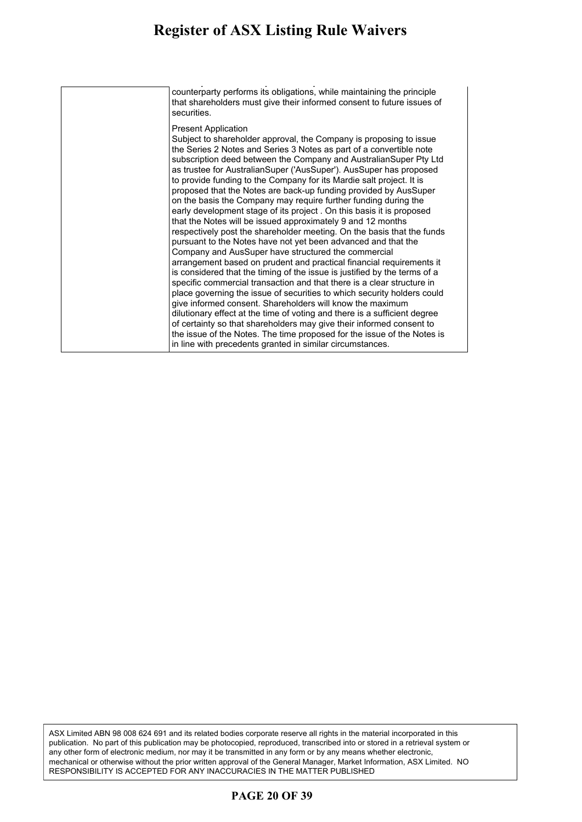### **Register of ASX Listing Rule Waivers** gister of ASX Listing Rule Waivers securities are appropriate to the entity and the transaction in all the

| counterparty performs its obligations, while maintaining the principle<br>that shareholders must give their informed consent to future issues of<br>securities.                                                                                                                                                                                                                                                                                                                                                                                                                                                                                                                                                                                                                                                                                                                                                                                                                                                                                                                                                                                                                                                                                                                                                                |
|--------------------------------------------------------------------------------------------------------------------------------------------------------------------------------------------------------------------------------------------------------------------------------------------------------------------------------------------------------------------------------------------------------------------------------------------------------------------------------------------------------------------------------------------------------------------------------------------------------------------------------------------------------------------------------------------------------------------------------------------------------------------------------------------------------------------------------------------------------------------------------------------------------------------------------------------------------------------------------------------------------------------------------------------------------------------------------------------------------------------------------------------------------------------------------------------------------------------------------------------------------------------------------------------------------------------------------|
| <b>Present Application</b><br>Subject to shareholder approval, the Company is proposing to issue<br>the Series 2 Notes and Series 3 Notes as part of a convertible note<br>subscription deed between the Company and AustralianSuper Pty Ltd<br>as trustee for AustralianSuper ('AusSuper'). AusSuper has proposed<br>to provide funding to the Company for its Mardie salt project. It is<br>proposed that the Notes are back-up funding provided by AusSuper<br>on the basis the Company may require further funding during the<br>early development stage of its project. On this basis it is proposed<br>that the Notes will be issued approximately 9 and 12 months<br>respectively post the shareholder meeting. On the basis that the funds<br>pursuant to the Notes have not yet been advanced and that the<br>Company and AusSuper have structured the commercial<br>arrangement based on prudent and practical financial requirements it<br>is considered that the timing of the issue is justified by the terms of a<br>specific commercial transaction and that there is a clear structure in<br>place governing the issue of securities to which security holders could<br>give informed consent. Shareholders will know the maximum<br>dilutionary effect at the time of voting and there is a sufficient degree |
| of certainty so that shareholders may give their informed consent to<br>the issue of the Notes. The time proposed for the issue of the Notes is<br>in line with precedents granted in similar circumstances.                                                                                                                                                                                                                                                                                                                                                                                                                                                                                                                                                                                                                                                                                                                                                                                                                                                                                                                                                                                                                                                                                                                   |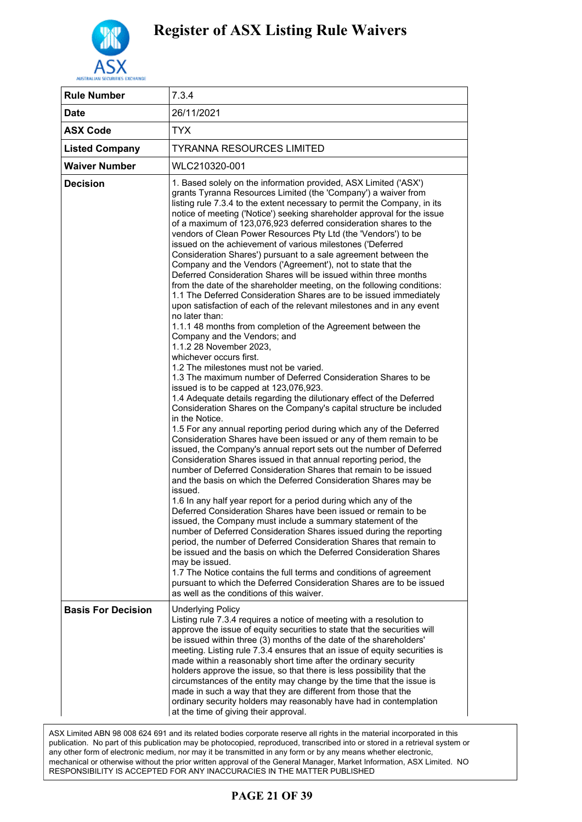

| 7.3.4                                                                                                                                                                                                                                                                                                                                                                                                                                                                                                                                                                                                                                                                                                                                                                                                                                                                                                                                                                                                                                                                                                                                                                                                                                                                                                                                                                                                                                                                                                                                                                                                                                                                                                                                                                                                                                                                                                                                                                                                                                                                                                                                                                                                                                                                                                                                                                                                                                                                                                       |
|-------------------------------------------------------------------------------------------------------------------------------------------------------------------------------------------------------------------------------------------------------------------------------------------------------------------------------------------------------------------------------------------------------------------------------------------------------------------------------------------------------------------------------------------------------------------------------------------------------------------------------------------------------------------------------------------------------------------------------------------------------------------------------------------------------------------------------------------------------------------------------------------------------------------------------------------------------------------------------------------------------------------------------------------------------------------------------------------------------------------------------------------------------------------------------------------------------------------------------------------------------------------------------------------------------------------------------------------------------------------------------------------------------------------------------------------------------------------------------------------------------------------------------------------------------------------------------------------------------------------------------------------------------------------------------------------------------------------------------------------------------------------------------------------------------------------------------------------------------------------------------------------------------------------------------------------------------------------------------------------------------------------------------------------------------------------------------------------------------------------------------------------------------------------------------------------------------------------------------------------------------------------------------------------------------------------------------------------------------------------------------------------------------------------------------------------------------------------------------------------------------------|
| 26/11/2021                                                                                                                                                                                                                                                                                                                                                                                                                                                                                                                                                                                                                                                                                                                                                                                                                                                                                                                                                                                                                                                                                                                                                                                                                                                                                                                                                                                                                                                                                                                                                                                                                                                                                                                                                                                                                                                                                                                                                                                                                                                                                                                                                                                                                                                                                                                                                                                                                                                                                                  |
| <b>TYX</b>                                                                                                                                                                                                                                                                                                                                                                                                                                                                                                                                                                                                                                                                                                                                                                                                                                                                                                                                                                                                                                                                                                                                                                                                                                                                                                                                                                                                                                                                                                                                                                                                                                                                                                                                                                                                                                                                                                                                                                                                                                                                                                                                                                                                                                                                                                                                                                                                                                                                                                  |
| <b>TYRANNA RESOURCES LIMITED</b>                                                                                                                                                                                                                                                                                                                                                                                                                                                                                                                                                                                                                                                                                                                                                                                                                                                                                                                                                                                                                                                                                                                                                                                                                                                                                                                                                                                                                                                                                                                                                                                                                                                                                                                                                                                                                                                                                                                                                                                                                                                                                                                                                                                                                                                                                                                                                                                                                                                                            |
| WLC210320-001                                                                                                                                                                                                                                                                                                                                                                                                                                                                                                                                                                                                                                                                                                                                                                                                                                                                                                                                                                                                                                                                                                                                                                                                                                                                                                                                                                                                                                                                                                                                                                                                                                                                                                                                                                                                                                                                                                                                                                                                                                                                                                                                                                                                                                                                                                                                                                                                                                                                                               |
| 1. Based solely on the information provided, ASX Limited ('ASX')<br>grants Tyranna Resources Limited (the 'Company') a waiver from<br>listing rule 7.3.4 to the extent necessary to permit the Company, in its<br>notice of meeting ('Notice') seeking shareholder approval for the issue<br>of a maximum of 123,076,923 deferred consideration shares to the<br>vendors of Clean Power Resources Pty Ltd (the 'Vendors') to be<br>issued on the achievement of various milestones ('Deferred<br>Consideration Shares') pursuant to a sale agreement between the<br>Company and the Vendors ('Agreement'), not to state that the<br>Deferred Consideration Shares will be issued within three months<br>from the date of the shareholder meeting, on the following conditions:<br>1.1 The Deferred Consideration Shares are to be issued immediately<br>upon satisfaction of each of the relevant milestones and in any event<br>no later than:<br>1.1.1 48 months from completion of the Agreement between the<br>Company and the Vendors; and<br>1.1.2 28 November 2023,<br>whichever occurs first.<br>1.2 The milestones must not be varied.<br>1.3 The maximum number of Deferred Consideration Shares to be<br>issued is to be capped at 123,076,923.<br>1.4 Adequate details regarding the dilutionary effect of the Deferred<br>Consideration Shares on the Company's capital structure be included<br>in the Notice.<br>1.5 For any annual reporting period during which any of the Deferred<br>Consideration Shares have been issued or any of them remain to be<br>issued, the Company's annual report sets out the number of Deferred<br>Consideration Shares issued in that annual reporting period, the<br>number of Deferred Consideration Shares that remain to be issued<br>and the basis on which the Deferred Consideration Shares may be<br>issued.<br>1.6 In any half year report for a period during which any of the<br>Deferred Consideration Shares have been issued or remain to be<br>issued, the Company must include a summary statement of the<br>number of Deferred Consideration Shares issued during the reporting<br>period, the number of Deferred Consideration Shares that remain to<br>be issued and the basis on which the Deferred Consideration Shares<br>may be issued.<br>1.7 The Notice contains the full terms and conditions of agreement<br>pursuant to which the Deferred Consideration Shares are to be issued<br>as well as the conditions of this waiver. |
| <b>Underlying Policy</b><br>Listing rule 7.3.4 requires a notice of meeting with a resolution to<br>approve the issue of equity securities to state that the securities will<br>be issued within three (3) months of the date of the shareholders'<br>meeting. Listing rule 7.3.4 ensures that an issue of equity securities is<br>made within a reasonably short time after the ordinary security<br>holders approve the issue, so that there is less possibility that the<br>circumstances of the entity may change by the time that the issue is<br>made in such a way that they are different from those that the<br>ordinary security holders may reasonably have had in contemplation<br>at the time of giving their approval.                                                                                                                                                                                                                                                                                                                                                                                                                                                                                                                                                                                                                                                                                                                                                                                                                                                                                                                                                                                                                                                                                                                                                                                                                                                                                                                                                                                                                                                                                                                                                                                                                                                                                                                                                                        |
|                                                                                                                                                                                                                                                                                                                                                                                                                                                                                                                                                                                                                                                                                                                                                                                                                                                                                                                                                                                                                                                                                                                                                                                                                                                                                                                                                                                                                                                                                                                                                                                                                                                                                                                                                                                                                                                                                                                                                                                                                                                                                                                                                                                                                                                                                                                                                                                                                                                                                                             |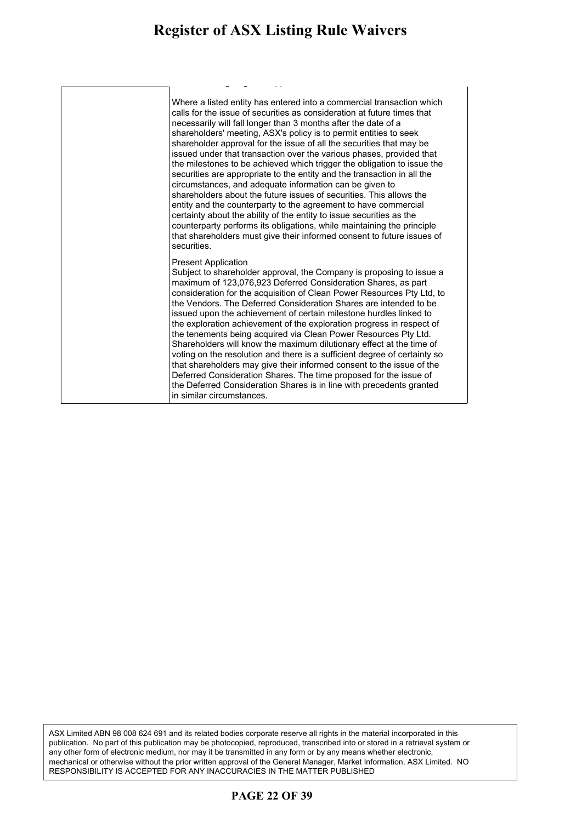### **Register of ASX Listing Rule Waivers** gister of ASX Listing Kule Waivers holders approve the issue, so that there is less possibility that the

at the time of giving their approval.

Where a listed entity has entered into a commercial transaction which calls for the issue of securities as consideration at future times that necessarily will fall longer than 3 months after the date of a shareholders' meeting, ASX's policy is to permit entities to seek shareholder approval for the issue of all the securities that may be issued under that transaction over the various phases, provided that the milestones to be achieved which trigger the obligation to issue the securities are appropriate to the entity and the transaction in all the circumstances, and adequate information can be given to shareholders about the future issues of securities. This allows the entity and the counterparty to the agreement to have commercial certainty about the ability of the entity to issue securities as the counterparty performs its obligations, while maintaining the principle that shareholders must give their informed consent to future issues of securities.

### Present Application

Subject to shareholder approval, the Company is proposing to issue a maximum of 123,076,923 Deferred Consideration Shares, as part consideration for the acquisition of Clean Power Resources Pty Ltd, to the Vendors. The Deferred Consideration Shares are intended to be issued upon the achievement of certain milestone hurdles linked to the exploration achievement of the exploration progress in respect of the tenements being acquired via Clean Power Resources Pty Ltd. Shareholders will know the maximum dilutionary effect at the time of voting on the resolution and there is a sufficient degree of certainty so that shareholders may give their informed consent to the issue of the Deferred Consideration Shares. The time proposed for the issue of the Deferred Consideration Shares is in line with precedents granted in similar circumstances.

ASX Limited ABN 98 008 624 691 and its related bodies corporate reserve all rights in the material incorporated in this publication. No part of this publication may be photocopied, reproduced, transcribed into or stored in a retrieval system or any other form of electronic medium, nor may it be transmitted in any form or by any means whether electronic, mechanical or otherwise without the prior written approval of the General Manager, Market Information, ASX Limited. NO RESPONSIBILITY IS ACCEPTED FOR ANY INACCURACIES IN THE MATTER PUBLISHED

### **PAGE 22 OF 39**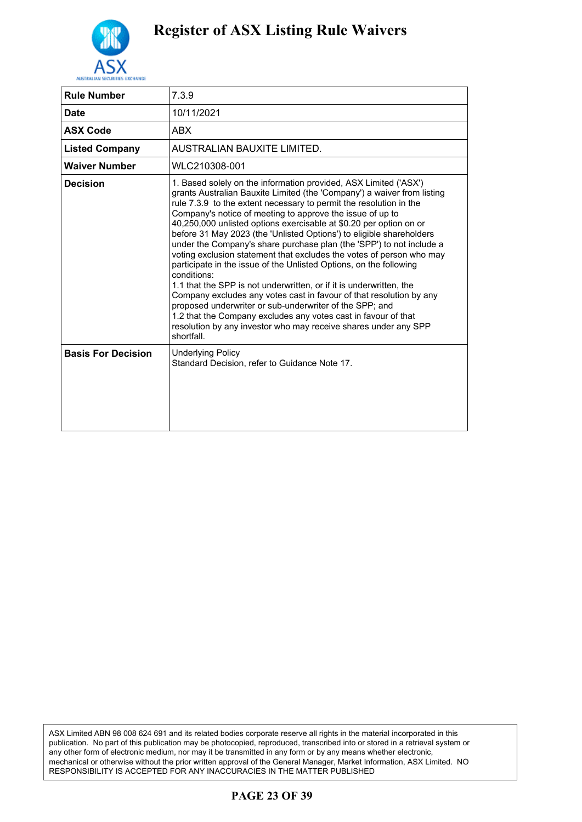

| <b>Rule Number</b>        | 7.3.9                                                                                                                                                                                                                                                                                                                                                                                                                                                                                                                                                                                                                                                                                                                                                                                                                                                                                                                                                                                                                         |
|---------------------------|-------------------------------------------------------------------------------------------------------------------------------------------------------------------------------------------------------------------------------------------------------------------------------------------------------------------------------------------------------------------------------------------------------------------------------------------------------------------------------------------------------------------------------------------------------------------------------------------------------------------------------------------------------------------------------------------------------------------------------------------------------------------------------------------------------------------------------------------------------------------------------------------------------------------------------------------------------------------------------------------------------------------------------|
| <b>Date</b>               | 10/11/2021                                                                                                                                                                                                                                                                                                                                                                                                                                                                                                                                                                                                                                                                                                                                                                                                                                                                                                                                                                                                                    |
| <b>ASX Code</b>           | ABX.                                                                                                                                                                                                                                                                                                                                                                                                                                                                                                                                                                                                                                                                                                                                                                                                                                                                                                                                                                                                                          |
| <b>Listed Company</b>     | AUSTRALIAN BAUXITE LIMITED.                                                                                                                                                                                                                                                                                                                                                                                                                                                                                                                                                                                                                                                                                                                                                                                                                                                                                                                                                                                                   |
| <b>Waiver Number</b>      | WLC210308-001                                                                                                                                                                                                                                                                                                                                                                                                                                                                                                                                                                                                                                                                                                                                                                                                                                                                                                                                                                                                                 |
| <b>Decision</b>           | 1. Based solely on the information provided, ASX Limited ('ASX')<br>grants Australian Bauxite Limited (the 'Company') a waiver from listing<br>rule 7.3.9 to the extent necessary to permit the resolution in the<br>Company's notice of meeting to approve the issue of up to<br>40,250,000 unlisted options exercisable at \$0.20 per option on or<br>before 31 May 2023 (the 'Unlisted Options') to eligible shareholders<br>under the Company's share purchase plan (the 'SPP') to not include a<br>voting exclusion statement that excludes the votes of person who may<br>participate in the issue of the Unlisted Options, on the following<br>conditions:<br>1.1 that the SPP is not underwritten, or if it is underwritten, the<br>Company excludes any votes cast in favour of that resolution by any<br>proposed underwriter or sub-underwriter of the SPP; and<br>1.2 that the Company excludes any votes cast in favour of that<br>resolution by any investor who may receive shares under any SPP<br>shortfall. |
| <b>Basis For Decision</b> | <b>Underlying Policy</b><br>Standard Decision, refer to Guidance Note 17.                                                                                                                                                                                                                                                                                                                                                                                                                                                                                                                                                                                                                                                                                                                                                                                                                                                                                                                                                     |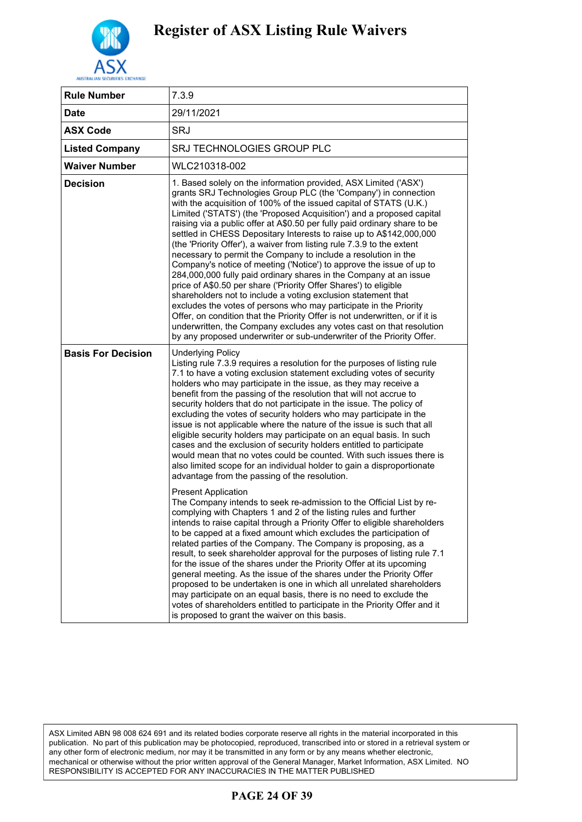

| <b>Rule Number</b>        | 7.3.9                                                                                                                                                                                                                                                                                                                                                                                                                                                                                                                                                                                                                                                                                                                                                                                                                                                                                                                                                                                                                                                                                                                                                                                                                                                                                                                                                                                                                                                                                                                                                                                                                                                                                                                                                                                                       |
|---------------------------|-------------------------------------------------------------------------------------------------------------------------------------------------------------------------------------------------------------------------------------------------------------------------------------------------------------------------------------------------------------------------------------------------------------------------------------------------------------------------------------------------------------------------------------------------------------------------------------------------------------------------------------------------------------------------------------------------------------------------------------------------------------------------------------------------------------------------------------------------------------------------------------------------------------------------------------------------------------------------------------------------------------------------------------------------------------------------------------------------------------------------------------------------------------------------------------------------------------------------------------------------------------------------------------------------------------------------------------------------------------------------------------------------------------------------------------------------------------------------------------------------------------------------------------------------------------------------------------------------------------------------------------------------------------------------------------------------------------------------------------------------------------------------------------------------------------|
| <b>Date</b>               | 29/11/2021                                                                                                                                                                                                                                                                                                                                                                                                                                                                                                                                                                                                                                                                                                                                                                                                                                                                                                                                                                                                                                                                                                                                                                                                                                                                                                                                                                                                                                                                                                                                                                                                                                                                                                                                                                                                  |
| <b>ASX Code</b>           | <b>SRJ</b>                                                                                                                                                                                                                                                                                                                                                                                                                                                                                                                                                                                                                                                                                                                                                                                                                                                                                                                                                                                                                                                                                                                                                                                                                                                                                                                                                                                                                                                                                                                                                                                                                                                                                                                                                                                                  |
| <b>Listed Company</b>     | SRJ TECHNOLOGIES GROUP PLC                                                                                                                                                                                                                                                                                                                                                                                                                                                                                                                                                                                                                                                                                                                                                                                                                                                                                                                                                                                                                                                                                                                                                                                                                                                                                                                                                                                                                                                                                                                                                                                                                                                                                                                                                                                  |
| <b>Waiver Number</b>      | WLC210318-002                                                                                                                                                                                                                                                                                                                                                                                                                                                                                                                                                                                                                                                                                                                                                                                                                                                                                                                                                                                                                                                                                                                                                                                                                                                                                                                                                                                                                                                                                                                                                                                                                                                                                                                                                                                               |
| <b>Decision</b>           | 1. Based solely on the information provided, ASX Limited ('ASX')<br>grants SRJ Technologies Group PLC (the 'Company') in connection<br>with the acquisition of 100% of the issued capital of STATS (U.K.)<br>Limited ('STATS') (the 'Proposed Acquisition') and a proposed capital<br>raising via a public offer at A\$0.50 per fully paid ordinary share to be<br>settled in CHESS Depositary Interests to raise up to A\$142,000,000<br>(the 'Priority Offer'), a waiver from listing rule 7.3.9 to the extent<br>necessary to permit the Company to include a resolution in the<br>Company's notice of meeting ('Notice') to approve the issue of up to<br>284,000,000 fully paid ordinary shares in the Company at an issue<br>price of A\$0.50 per share ('Priority Offer Shares') to eligible<br>shareholders not to include a voting exclusion statement that<br>excludes the votes of persons who may participate in the Priority<br>Offer, on condition that the Priority Offer is not underwritten, or if it is<br>underwritten, the Company excludes any votes cast on that resolution<br>by any proposed underwriter or sub-underwriter of the Priority Offer.                                                                                                                                                                                                                                                                                                                                                                                                                                                                                                                                                                                                                                  |
| <b>Basis For Decision</b> | <b>Underlying Policy</b><br>Listing rule 7.3.9 requires a resolution for the purposes of listing rule<br>7.1 to have a voting exclusion statement excluding votes of security<br>holders who may participate in the issue, as they may receive a<br>benefit from the passing of the resolution that will not accrue to<br>security holders that do not participate in the issue. The policy of<br>excluding the votes of security holders who may participate in the<br>issue is not applicable where the nature of the issue is such that all<br>eligible security holders may participate on an equal basis. In such<br>cases and the exclusion of security holders entitled to participate<br>would mean that no votes could be counted. With such issues there is<br>also limited scope for an individual holder to gain a disproportionate<br>advantage from the passing of the resolution.<br><b>Present Application</b><br>The Company intends to seek re-admission to the Official List by re-<br>complying with Chapters 1 and 2 of the listing rules and further<br>intends to raise capital through a Priority Offer to eligible shareholders<br>to be capped at a fixed amount which excludes the participation of<br>related parties of the Company. The Company is proposing, as a<br>result, to seek shareholder approval for the purposes of listing rule 7.1<br>for the issue of the shares under the Priority Offer at its upcoming<br>general meeting. As the issue of the shares under the Priority Offer<br>proposed to be undertaken is one in which all unrelated shareholders<br>may participate on an equal basis, there is no need to exclude the<br>votes of shareholders entitled to participate in the Priority Offer and it<br>is proposed to grant the waiver on this basis. |

### **PAGE 24 OF 39**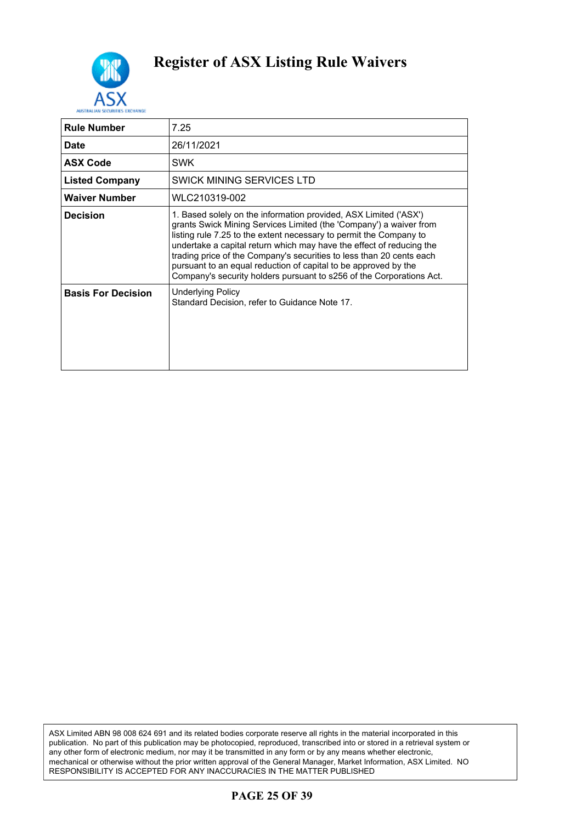

| <b>Rule Number</b>        | 7.25                                                                                                                                                                                                                                                                                                                                                                                                                                                                                                    |
|---------------------------|---------------------------------------------------------------------------------------------------------------------------------------------------------------------------------------------------------------------------------------------------------------------------------------------------------------------------------------------------------------------------------------------------------------------------------------------------------------------------------------------------------|
| Date                      | 26/11/2021                                                                                                                                                                                                                                                                                                                                                                                                                                                                                              |
| <b>ASX Code</b>           | SWK                                                                                                                                                                                                                                                                                                                                                                                                                                                                                                     |
| <b>Listed Company</b>     | SWICK MINING SERVICES LTD                                                                                                                                                                                                                                                                                                                                                                                                                                                                               |
| <b>Waiver Number</b>      | WLC210319-002                                                                                                                                                                                                                                                                                                                                                                                                                                                                                           |
| <b>Decision</b>           | 1. Based solely on the information provided, ASX Limited ('ASX')<br>grants Swick Mining Services Limited (the 'Company') a waiver from<br>listing rule 7.25 to the extent necessary to permit the Company to<br>undertake a capital return which may have the effect of reducing the<br>trading price of the Company's securities to less than 20 cents each<br>pursuant to an equal reduction of capital to be approved by the<br>Company's security holders pursuant to s256 of the Corporations Act. |
| <b>Basis For Decision</b> | <b>Underlying Policy</b><br>Standard Decision, refer to Guidance Note 17.                                                                                                                                                                                                                                                                                                                                                                                                                               |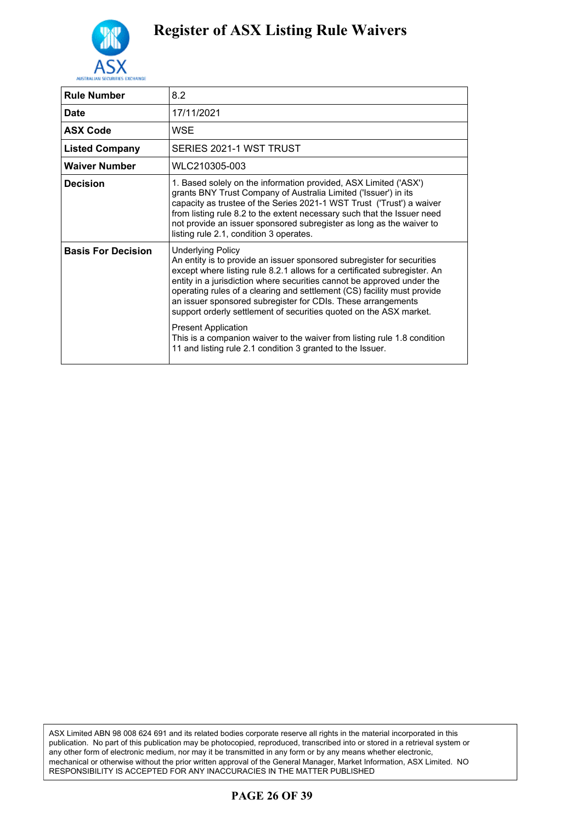

| <b>Rule Number</b>        | 8.2                                                                                                                                                                                                                                                                                                                                                                                                                                                                                                                                                                                                                                                |
|---------------------------|----------------------------------------------------------------------------------------------------------------------------------------------------------------------------------------------------------------------------------------------------------------------------------------------------------------------------------------------------------------------------------------------------------------------------------------------------------------------------------------------------------------------------------------------------------------------------------------------------------------------------------------------------|
| <b>Date</b>               | 17/11/2021                                                                                                                                                                                                                                                                                                                                                                                                                                                                                                                                                                                                                                         |
| <b>ASX Code</b>           | WSE                                                                                                                                                                                                                                                                                                                                                                                                                                                                                                                                                                                                                                                |
| <b>Listed Company</b>     | SERIES 2021-1 WST TRUST                                                                                                                                                                                                                                                                                                                                                                                                                                                                                                                                                                                                                            |
| <b>Waiver Number</b>      | WLC210305-003                                                                                                                                                                                                                                                                                                                                                                                                                                                                                                                                                                                                                                      |
| <b>Decision</b>           | 1. Based solely on the information provided, ASX Limited ('ASX')<br>grants BNY Trust Company of Australia Limited ('Issuer') in its<br>capacity as trustee of the Series 2021-1 WST Trust ('Trust') a waiver<br>from listing rule 8.2 to the extent necessary such that the Issuer need<br>not provide an issuer sponsored subregister as long as the waiver to<br>listing rule 2.1, condition 3 operates.                                                                                                                                                                                                                                         |
| <b>Basis For Decision</b> | <b>Underlying Policy</b><br>An entity is to provide an issuer sponsored subregister for securities<br>except where listing rule 8.2.1 allows for a certificated subregister. An<br>entity in a jurisdiction where securities cannot be approved under the<br>operating rules of a clearing and settlement (CS) facility must provide<br>an issuer sponsored subregister for CDIs. These arrangements<br>support orderly settlement of securities quoted on the ASX market.<br><b>Present Application</b><br>This is a companion waiver to the waiver from listing rule 1.8 condition<br>11 and listing rule 2.1 condition 3 granted to the Issuer. |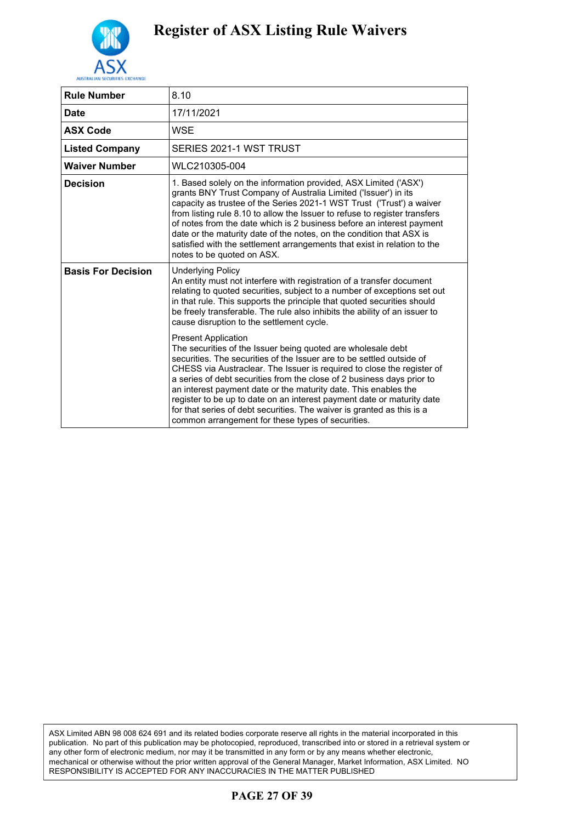

| <b>Rule Number</b>        | 8.10                                                                                                                                                                                                                                                                                                                                                                                                                                                                                                                                                                                                |
|---------------------------|-----------------------------------------------------------------------------------------------------------------------------------------------------------------------------------------------------------------------------------------------------------------------------------------------------------------------------------------------------------------------------------------------------------------------------------------------------------------------------------------------------------------------------------------------------------------------------------------------------|
| <b>Date</b>               | 17/11/2021                                                                                                                                                                                                                                                                                                                                                                                                                                                                                                                                                                                          |
| <b>ASX Code</b>           | <b>WSF</b>                                                                                                                                                                                                                                                                                                                                                                                                                                                                                                                                                                                          |
| <b>Listed Company</b>     | SERIES 2021-1 WST TRUST                                                                                                                                                                                                                                                                                                                                                                                                                                                                                                                                                                             |
| <b>Waiver Number</b>      | WLC210305-004                                                                                                                                                                                                                                                                                                                                                                                                                                                                                                                                                                                       |
| <b>Decision</b>           | 1. Based solely on the information provided, ASX Limited ('ASX')<br>grants BNY Trust Company of Australia Limited ('Issuer') in its<br>capacity as trustee of the Series 2021-1 WST Trust ('Trust') a waiver<br>from listing rule 8.10 to allow the Issuer to refuse to register transfers<br>of notes from the date which is 2 business before an interest payment<br>date or the maturity date of the notes, on the condition that ASX is<br>satisfied with the settlement arrangements that exist in relation to the<br>notes to be quoted on ASX.                                               |
| <b>Basis For Decision</b> | <b>Underlying Policy</b><br>An entity must not interfere with registration of a transfer document<br>relating to quoted securities, subject to a number of exceptions set out<br>in that rule. This supports the principle that quoted securities should<br>be freely transferable. The rule also inhibits the ability of an issuer to<br>cause disruption to the settlement cycle.                                                                                                                                                                                                                 |
|                           | <b>Present Application</b><br>The securities of the Issuer being quoted are wholesale debt<br>securities. The securities of the Issuer are to be settled outside of<br>CHESS via Austraclear. The Issuer is required to close the register of<br>a series of debt securities from the close of 2 business days prior to<br>an interest payment date or the maturity date. This enables the<br>register to be up to date on an interest payment date or maturity date<br>for that series of debt securities. The waiver is granted as this is a<br>common arrangement for these types of securities. |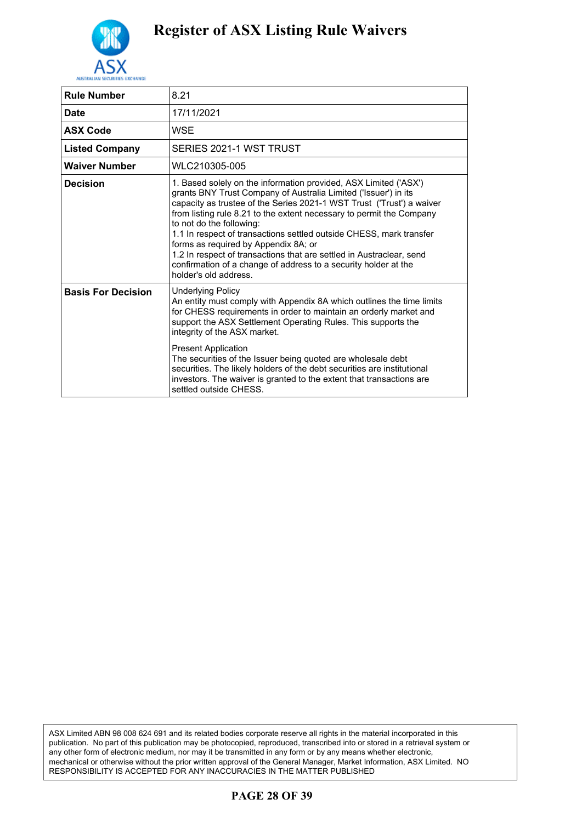

| 8.21                                                                                                                                                                                                                                                                                                                                                                                                                                                                                                                                                                                               |
|----------------------------------------------------------------------------------------------------------------------------------------------------------------------------------------------------------------------------------------------------------------------------------------------------------------------------------------------------------------------------------------------------------------------------------------------------------------------------------------------------------------------------------------------------------------------------------------------------|
| 17/11/2021                                                                                                                                                                                                                                                                                                                                                                                                                                                                                                                                                                                         |
| WSE                                                                                                                                                                                                                                                                                                                                                                                                                                                                                                                                                                                                |
| SERIES 2021-1 WST TRUST                                                                                                                                                                                                                                                                                                                                                                                                                                                                                                                                                                            |
| WLC210305-005                                                                                                                                                                                                                                                                                                                                                                                                                                                                                                                                                                                      |
| 1. Based solely on the information provided, ASX Limited ('ASX')<br>grants BNY Trust Company of Australia Limited ('Issuer') in its<br>capacity as trustee of the Series 2021-1 WST Trust ('Trust') a waiver<br>from listing rule 8.21 to the extent necessary to permit the Company<br>to not do the following:<br>1.1 In respect of transactions settled outside CHESS, mark transfer<br>forms as required by Appendix 8A; or<br>1.2 In respect of transactions that are settled in Austraclear, send<br>confirmation of a change of address to a security holder at the<br>holder's old address |
| <b>Underlying Policy</b><br>An entity must comply with Appendix 8A which outlines the time limits<br>for CHESS requirements in order to maintain an orderly market and<br>support the ASX Settlement Operating Rules. This supports the<br>integrity of the ASX market.<br><b>Present Application</b><br>The securities of the Issuer being quoted are wholesale debt<br>securities. The likely holders of the debt securities are institutional<br>investors. The waiver is granted to the extent that transactions are<br>settled outside CHFSS.                                                 |
|                                                                                                                                                                                                                                                                                                                                                                                                                                                                                                                                                                                                    |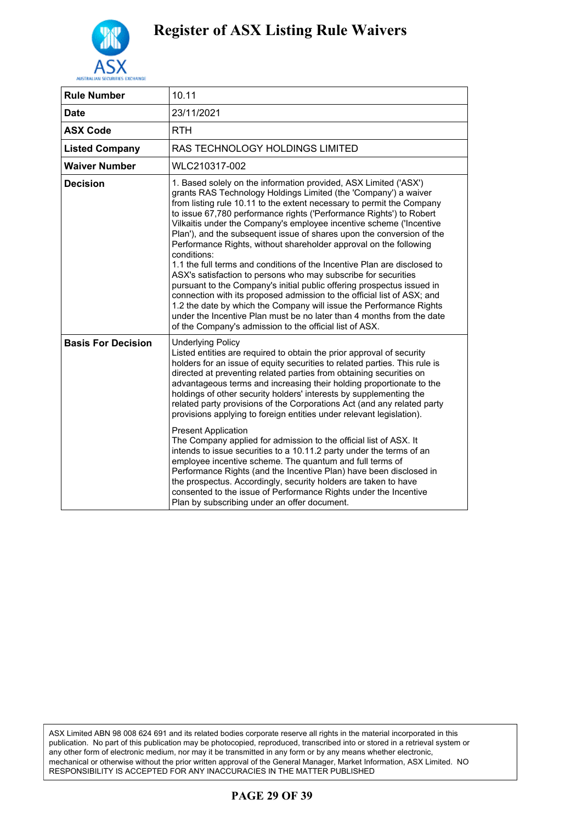

| <b>Rule Number</b>        | 10.11                                                                                                                                                                                                                                                                                                                                                                                                                                                                                                                                                                                                                                                                                                                                                                                                                                                                                                                                                                                                                                                       |
|---------------------------|-------------------------------------------------------------------------------------------------------------------------------------------------------------------------------------------------------------------------------------------------------------------------------------------------------------------------------------------------------------------------------------------------------------------------------------------------------------------------------------------------------------------------------------------------------------------------------------------------------------------------------------------------------------------------------------------------------------------------------------------------------------------------------------------------------------------------------------------------------------------------------------------------------------------------------------------------------------------------------------------------------------------------------------------------------------|
| Date                      | 23/11/2021                                                                                                                                                                                                                                                                                                                                                                                                                                                                                                                                                                                                                                                                                                                                                                                                                                                                                                                                                                                                                                                  |
| <b>ASX Code</b>           | <b>RTH</b>                                                                                                                                                                                                                                                                                                                                                                                                                                                                                                                                                                                                                                                                                                                                                                                                                                                                                                                                                                                                                                                  |
| <b>Listed Company</b>     | RAS TECHNOLOGY HOLDINGS LIMITED                                                                                                                                                                                                                                                                                                                                                                                                                                                                                                                                                                                                                                                                                                                                                                                                                                                                                                                                                                                                                             |
| <b>Waiver Number</b>      | WLC210317-002                                                                                                                                                                                                                                                                                                                                                                                                                                                                                                                                                                                                                                                                                                                                                                                                                                                                                                                                                                                                                                               |
| <b>Decision</b>           | 1. Based solely on the information provided, ASX Limited ('ASX')<br>grants RAS Technology Holdings Limited (the 'Company') a waiver<br>from listing rule 10.11 to the extent necessary to permit the Company<br>to issue 67,780 performance rights ('Performance Rights') to Robert<br>Vilkaitis under the Company's employee incentive scheme ('Incentive<br>Plan'), and the subsequent issue of shares upon the conversion of the<br>Performance Rights, without shareholder approval on the following<br>conditions:<br>1.1 the full terms and conditions of the Incentive Plan are disclosed to<br>ASX's satisfaction to persons who may subscribe for securities<br>pursuant to the Company's initial public offering prospectus issued in<br>connection with its proposed admission to the official list of ASX; and<br>1.2 the date by which the Company will issue the Performance Rights<br>under the Incentive Plan must be no later than 4 months from the date<br>of the Company's admission to the official list of ASX.                       |
| <b>Basis For Decision</b> | <b>Underlying Policy</b><br>Listed entities are required to obtain the prior approval of security<br>holders for an issue of equity securities to related parties. This rule is<br>directed at preventing related parties from obtaining securities on<br>advantageous terms and increasing their holding proportionate to the<br>holdings of other security holders' interests by supplementing the<br>related party provisions of the Corporations Act (and any related party<br>provisions applying to foreign entities under relevant legislation).<br><b>Present Application</b><br>The Company applied for admission to the official list of ASX. It<br>intends to issue securities to a 10.11.2 party under the terms of an<br>employee incentive scheme. The quantum and full terms of<br>Performance Rights (and the Incentive Plan) have been disclosed in<br>the prospectus. Accordingly, security holders are taken to have<br>consented to the issue of Performance Rights under the Incentive<br>Plan by subscribing under an offer document. |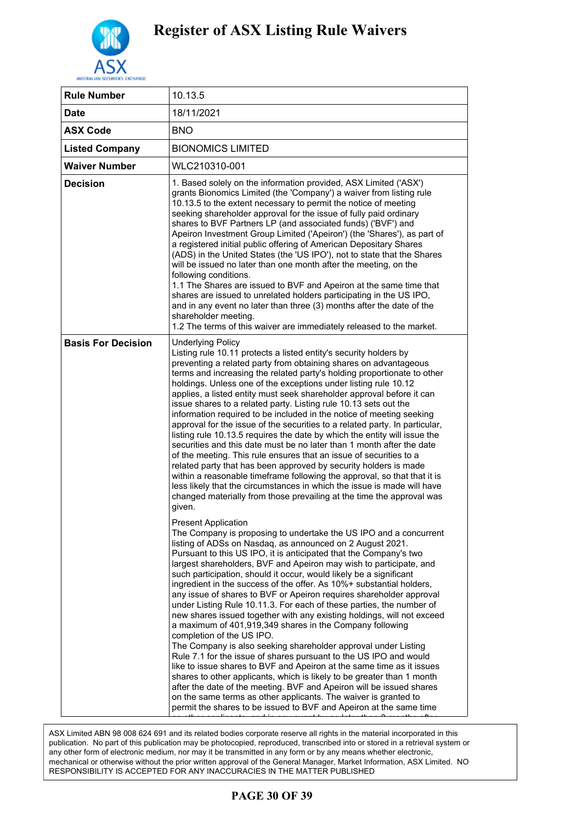

| <b>Rule Number</b>        | 10.13.5                                                                                                                                                                                                                                                                                                                                                                                                                                                                                                                                                                                                                                                                                                                                                                                                                                                                                                                                                                                                                                                                                                                                                                                                                                                                                                                                                                                                                                                                                                                                                                                                                                                                                                                                                                                                                                                                                                                                                                                                                                                                                                                                                                                                                                                                                                                                                                                                                                             |
|---------------------------|-----------------------------------------------------------------------------------------------------------------------------------------------------------------------------------------------------------------------------------------------------------------------------------------------------------------------------------------------------------------------------------------------------------------------------------------------------------------------------------------------------------------------------------------------------------------------------------------------------------------------------------------------------------------------------------------------------------------------------------------------------------------------------------------------------------------------------------------------------------------------------------------------------------------------------------------------------------------------------------------------------------------------------------------------------------------------------------------------------------------------------------------------------------------------------------------------------------------------------------------------------------------------------------------------------------------------------------------------------------------------------------------------------------------------------------------------------------------------------------------------------------------------------------------------------------------------------------------------------------------------------------------------------------------------------------------------------------------------------------------------------------------------------------------------------------------------------------------------------------------------------------------------------------------------------------------------------------------------------------------------------------------------------------------------------------------------------------------------------------------------------------------------------------------------------------------------------------------------------------------------------------------------------------------------------------------------------------------------------------------------------------------------------------------------------------------------------|
| <b>Date</b>               | 18/11/2021                                                                                                                                                                                                                                                                                                                                                                                                                                                                                                                                                                                                                                                                                                                                                                                                                                                                                                                                                                                                                                                                                                                                                                                                                                                                                                                                                                                                                                                                                                                                                                                                                                                                                                                                                                                                                                                                                                                                                                                                                                                                                                                                                                                                                                                                                                                                                                                                                                          |
| <b>ASX Code</b>           | <b>BNO</b>                                                                                                                                                                                                                                                                                                                                                                                                                                                                                                                                                                                                                                                                                                                                                                                                                                                                                                                                                                                                                                                                                                                                                                                                                                                                                                                                                                                                                                                                                                                                                                                                                                                                                                                                                                                                                                                                                                                                                                                                                                                                                                                                                                                                                                                                                                                                                                                                                                          |
| <b>Listed Company</b>     | <b>BIONOMICS LIMITED</b>                                                                                                                                                                                                                                                                                                                                                                                                                                                                                                                                                                                                                                                                                                                                                                                                                                                                                                                                                                                                                                                                                                                                                                                                                                                                                                                                                                                                                                                                                                                                                                                                                                                                                                                                                                                                                                                                                                                                                                                                                                                                                                                                                                                                                                                                                                                                                                                                                            |
| <b>Waiver Number</b>      | WLC210310-001                                                                                                                                                                                                                                                                                                                                                                                                                                                                                                                                                                                                                                                                                                                                                                                                                                                                                                                                                                                                                                                                                                                                                                                                                                                                                                                                                                                                                                                                                                                                                                                                                                                                                                                                                                                                                                                                                                                                                                                                                                                                                                                                                                                                                                                                                                                                                                                                                                       |
| <b>Decision</b>           | 1. Based solely on the information provided, ASX Limited ('ASX')<br>grants Bionomics Limited (the 'Company') a waiver from listing rule<br>10.13.5 to the extent necessary to permit the notice of meeting<br>seeking shareholder approval for the issue of fully paid ordinary<br>shares to BVF Partners LP (and associated funds) ('BVF') and<br>Apeiron Investment Group Limited ('Apeiron') (the 'Shares'), as part of<br>a registered initial public offering of American Depositary Shares<br>(ADS) in the United States (the 'US IPO'), not to state that the Shares<br>will be issued no later than one month after the meeting, on the<br>following conditions.<br>1.1 The Shares are issued to BVF and Apeiron at the same time that<br>shares are issued to unrelated holders participating in the US IPO,<br>and in any event no later than three (3) months after the date of the<br>shareholder meeting.<br>1.2 The terms of this waiver are immediately released to the market.                                                                                                                                                                                                                                                                                                                                                                                                                                                                                                                                                                                                                                                                                                                                                                                                                                                                                                                                                                                                                                                                                                                                                                                                                                                                                                                                                                                                                                                      |
| <b>Basis For Decision</b> | <b>Underlying Policy</b><br>Listing rule 10.11 protects a listed entity's security holders by<br>preventing a related party from obtaining shares on advantageous<br>terms and increasing the related party's holding proportionate to other<br>holdings. Unless one of the exceptions under listing rule 10.12<br>applies, a listed entity must seek shareholder approval before it can<br>issue shares to a related party. Listing rule 10.13 sets out the<br>information required to be included in the notice of meeting seeking<br>approval for the issue of the securities to a related party. In particular,<br>listing rule 10.13.5 requires the date by which the entity will issue the<br>securities and this date must be no later than 1 month after the date<br>of the meeting. This rule ensures that an issue of securities to a<br>related party that has been approved by security holders is made<br>within a reasonable timeframe following the approval, so that that it is<br>less likely that the circumstances in which the issue is made will have<br>changed materially from those prevailing at the time the approval was<br>given.<br><b>Present Application</b><br>The Company is proposing to undertake the US IPO and a concurrent<br>listing of ADSs on Nasdaq, as announced on 2 August 2021.<br>Pursuant to this US IPO, it is anticipated that the Company's two<br>largest shareholders, BVF and Apeiron may wish to participate, and<br>such participation, should it occur, would likely be a significant<br>ingredient in the success of the offer. As 10%+ substantial holders,<br>any issue of shares to BVF or Apeiron requires shareholder approval<br>under Listing Rule 10.11.3. For each of these parties, the number of<br>new shares issued together with any existing holdings, will not exceed<br>a maximum of 401,919,349 shares in the Company following<br>completion of the US IPO.<br>The Company is also seeking shareholder approval under Listing<br>Rule 7.1 for the issue of shares pursuant to the US IPO and would<br>like to issue shares to BVF and Apeiron at the same time as it issues<br>shares to other applicants, which is likely to be greater than 1 month<br>after the date of the meeting. BVF and Apeiron will be issued shares<br>on the same terms as other applicants. The waiver is granted to<br>permit the shares to be issued to BVF and Apeiron at the same time |

ASX Limited ABN 98 008 624 691 and its related bodies corporate reserve all rights in the material incorporated in this publication. No part of this publication may be photocopied, reproduced, transcribed into or stored in a retrieval system or any other form of electronic medium, nor may it be transmitted in any form or by any means whether electronic, mechanical or otherwise without the prior written approval of the General Manager, Market Information, ASX Limited. NO RESPONSIBILITY IS ACCEPTED FOR ANY INACCURACIES IN THE MATTER PUBLISHED

### **PAGE 30 OF 39**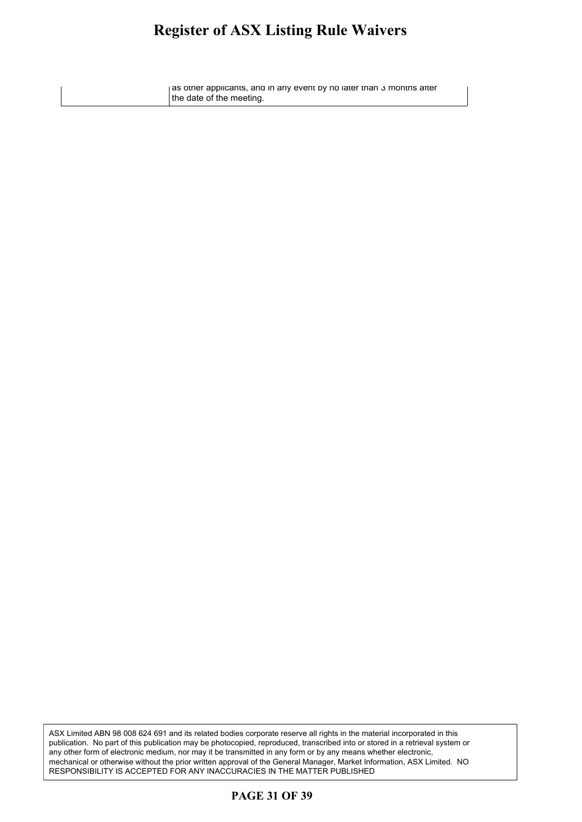#### **Register of ASX Listing Rule Waivers**  $\sigma$ ister of ASV I isting Rule Waiyers  $\sigma$  $\mathbf{S}^{\text{DVCI}}$  of the stability states that  $\mathbf{S}^{\text{DVCI}}$

as other applicants, and in any event by no later than 3 months after the date of the meeting.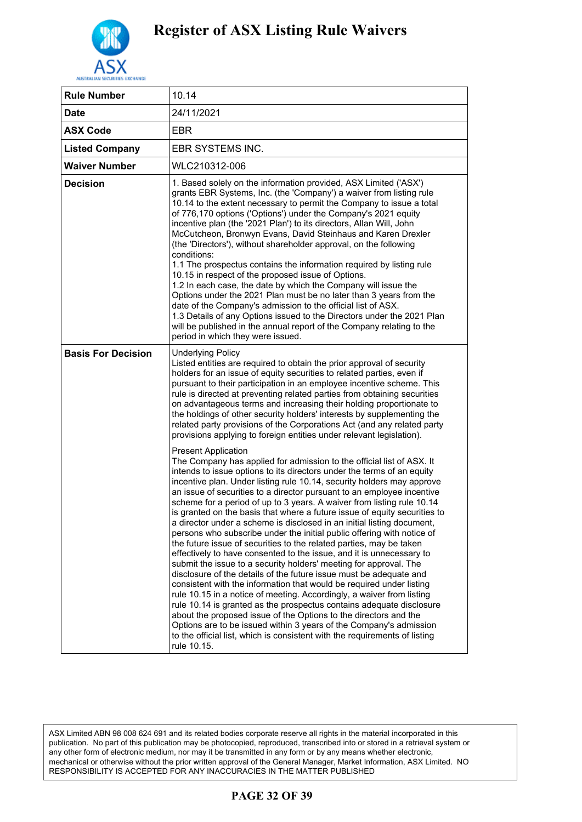

| <b>Rule Number</b>        | 10.14                                                                                                                                                                                                                                                                                                                                                                                                                                                                                                                                                                                                                                                                                                                                                                                                                                                                                                                                                                                                                                                                                                                                                                                                                                                                                                                                                                                                                                                                                                                                                                                                                                                                                                                                                                                                                                                                                                                                            |
|---------------------------|--------------------------------------------------------------------------------------------------------------------------------------------------------------------------------------------------------------------------------------------------------------------------------------------------------------------------------------------------------------------------------------------------------------------------------------------------------------------------------------------------------------------------------------------------------------------------------------------------------------------------------------------------------------------------------------------------------------------------------------------------------------------------------------------------------------------------------------------------------------------------------------------------------------------------------------------------------------------------------------------------------------------------------------------------------------------------------------------------------------------------------------------------------------------------------------------------------------------------------------------------------------------------------------------------------------------------------------------------------------------------------------------------------------------------------------------------------------------------------------------------------------------------------------------------------------------------------------------------------------------------------------------------------------------------------------------------------------------------------------------------------------------------------------------------------------------------------------------------------------------------------------------------------------------------------------------------|
| <b>Date</b>               | 24/11/2021                                                                                                                                                                                                                                                                                                                                                                                                                                                                                                                                                                                                                                                                                                                                                                                                                                                                                                                                                                                                                                                                                                                                                                                                                                                                                                                                                                                                                                                                                                                                                                                                                                                                                                                                                                                                                                                                                                                                       |
| <b>ASX Code</b>           | <b>EBR</b>                                                                                                                                                                                                                                                                                                                                                                                                                                                                                                                                                                                                                                                                                                                                                                                                                                                                                                                                                                                                                                                                                                                                                                                                                                                                                                                                                                                                                                                                                                                                                                                                                                                                                                                                                                                                                                                                                                                                       |
| <b>Listed Company</b>     | EBR SYSTEMS INC.                                                                                                                                                                                                                                                                                                                                                                                                                                                                                                                                                                                                                                                                                                                                                                                                                                                                                                                                                                                                                                                                                                                                                                                                                                                                                                                                                                                                                                                                                                                                                                                                                                                                                                                                                                                                                                                                                                                                 |
| <b>Waiver Number</b>      | WLC210312-006                                                                                                                                                                                                                                                                                                                                                                                                                                                                                                                                                                                                                                                                                                                                                                                                                                                                                                                                                                                                                                                                                                                                                                                                                                                                                                                                                                                                                                                                                                                                                                                                                                                                                                                                                                                                                                                                                                                                    |
| <b>Decision</b>           | 1. Based solely on the information provided, ASX Limited ('ASX')<br>grants EBR Systems, Inc. (the 'Company') a waiver from listing rule<br>10.14 to the extent necessary to permit the Company to issue a total<br>of 776,170 options ('Options') under the Company's 2021 equity<br>incentive plan (the '2021 Plan') to its directors, Allan Will, John<br>McCutcheon, Bronwyn Evans, David Steinhaus and Karen Drexler<br>(the 'Directors'), without shareholder approval, on the following<br>conditions:<br>1.1 The prospectus contains the information required by listing rule<br>10.15 in respect of the proposed issue of Options.<br>1.2 In each case, the date by which the Company will issue the<br>Options under the 2021 Plan must be no later than 3 years from the<br>date of the Company's admission to the official list of ASX.<br>1.3 Details of any Options issued to the Directors under the 2021 Plan<br>will be published in the annual report of the Company relating to the<br>period in which they were issued.                                                                                                                                                                                                                                                                                                                                                                                                                                                                                                                                                                                                                                                                                                                                                                                                                                                                                                       |
| <b>Basis For Decision</b> | <b>Underlying Policy</b><br>Listed entities are required to obtain the prior approval of security<br>holders for an issue of equity securities to related parties, even if<br>pursuant to their participation in an employee incentive scheme. This<br>rule is directed at preventing related parties from obtaining securities<br>on advantageous terms and increasing their holding proportionate to<br>the holdings of other security holders' interests by supplementing the<br>related party provisions of the Corporations Act (and any related party<br>provisions applying to foreign entities under relevant legislation).<br><b>Present Application</b><br>The Company has applied for admission to the official list of ASX. It<br>intends to issue options to its directors under the terms of an equity<br>incentive plan. Under listing rule 10.14, security holders may approve<br>an issue of securities to a director pursuant to an employee incentive<br>scheme for a period of up to 3 years. A waiver from listing rule 10.14<br>is granted on the basis that where a future issue of equity securities to<br>a director under a scheme is disclosed in an initial listing document,<br>persons who subscribe under the initial public offering with notice of<br>the future issue of securities to the related parties, may be taken<br>effectively to have consented to the issue, and it is unnecessary to<br>submit the issue to a security holders' meeting for approval. The<br>disclosure of the details of the future issue must be adequate and<br>consistent with the information that would be required under listing<br>rule 10.15 in a notice of meeting. Accordingly, a waiver from listing<br>rule 10.14 is granted as the prospectus contains adequate disclosure<br>about the proposed issue of the Options to the directors and the<br>Options are to be issued within 3 years of the Company's admission |
|                           |                                                                                                                                                                                                                                                                                                                                                                                                                                                                                                                                                                                                                                                                                                                                                                                                                                                                                                                                                                                                                                                                                                                                                                                                                                                                                                                                                                                                                                                                                                                                                                                                                                                                                                                                                                                                                                                                                                                                                  |

### **PAGE 32 OF 39**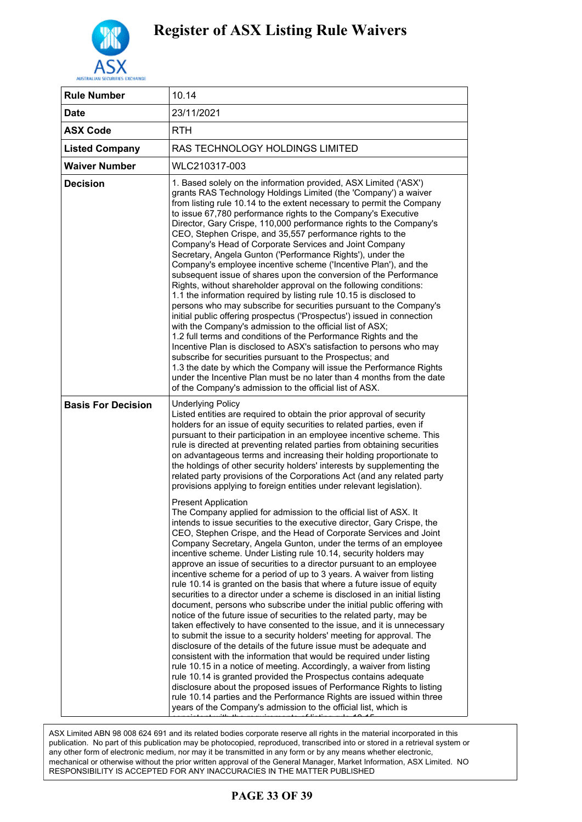

| <b>Rule Number</b>        | 10.14                                                                                                                                                                                                                                                                                                                                                                                                                                                                                                                                                                                                                                                                                                                                                                                                                                                                                                                                                                                                                                                                                                                                                                                                                                                                                                                                                                                                                                                      |
|---------------------------|------------------------------------------------------------------------------------------------------------------------------------------------------------------------------------------------------------------------------------------------------------------------------------------------------------------------------------------------------------------------------------------------------------------------------------------------------------------------------------------------------------------------------------------------------------------------------------------------------------------------------------------------------------------------------------------------------------------------------------------------------------------------------------------------------------------------------------------------------------------------------------------------------------------------------------------------------------------------------------------------------------------------------------------------------------------------------------------------------------------------------------------------------------------------------------------------------------------------------------------------------------------------------------------------------------------------------------------------------------------------------------------------------------------------------------------------------------|
| <b>Date</b>               | 23/11/2021                                                                                                                                                                                                                                                                                                                                                                                                                                                                                                                                                                                                                                                                                                                                                                                                                                                                                                                                                                                                                                                                                                                                                                                                                                                                                                                                                                                                                                                 |
| <b>ASX Code</b>           | <b>RTH</b>                                                                                                                                                                                                                                                                                                                                                                                                                                                                                                                                                                                                                                                                                                                                                                                                                                                                                                                                                                                                                                                                                                                                                                                                                                                                                                                                                                                                                                                 |
| <b>Listed Company</b>     | RAS TECHNOLOGY HOLDINGS LIMITED                                                                                                                                                                                                                                                                                                                                                                                                                                                                                                                                                                                                                                                                                                                                                                                                                                                                                                                                                                                                                                                                                                                                                                                                                                                                                                                                                                                                                            |
| <b>Waiver Number</b>      | WLC210317-003                                                                                                                                                                                                                                                                                                                                                                                                                                                                                                                                                                                                                                                                                                                                                                                                                                                                                                                                                                                                                                                                                                                                                                                                                                                                                                                                                                                                                                              |
| <b>Decision</b>           | 1. Based solely on the information provided, ASX Limited ('ASX')<br>grants RAS Technology Holdings Limited (the 'Company') a waiver<br>from listing rule 10.14 to the extent necessary to permit the Company<br>to issue 67,780 performance rights to the Company's Executive<br>Director, Gary Crispe, 110,000 performance rights to the Company's<br>CEO, Stephen Crispe, and 35,557 performance rights to the<br>Company's Head of Corporate Services and Joint Company<br>Secretary, Angela Gunton ('Performance Rights'), under the<br>Company's employee incentive scheme ('Incentive Plan'), and the<br>subsequent issue of shares upon the conversion of the Performance<br>Rights, without shareholder approval on the following conditions:<br>1.1 the information required by listing rule 10.15 is disclosed to<br>persons who may subscribe for securities pursuant to the Company's<br>initial public offering prospectus ('Prospectus') issued in connection<br>with the Company's admission to the official list of ASX;<br>1.2 full terms and conditions of the Performance Rights and the<br>Incentive Plan is disclosed to ASX's satisfaction to persons who may<br>subscribe for securities pursuant to the Prospectus; and<br>1.3 the date by which the Company will issue the Performance Rights<br>under the Incentive Plan must be no later than 4 months from the date<br>of the Company's admission to the official list of ASX. |
| <b>Basis For Decision</b> | <b>Underlying Policy</b><br>Listed entities are required to obtain the prior approval of security<br>holders for an issue of equity securities to related parties, even if<br>pursuant to their participation in an employee incentive scheme. This<br>rule is directed at preventing related parties from obtaining securities<br>on advantageous terms and increasing their holding proportionate to<br>the holdings of other security holders' interests by supplementing the<br>related party provisions of the Corporations Act (and any related party<br>provisions applying to foreign entities under relevant legislation).                                                                                                                                                                                                                                                                                                                                                                                                                                                                                                                                                                                                                                                                                                                                                                                                                        |
|                           | <b>Present Application</b><br>The Company applied for admission to the official list of ASX. It<br>intends to issue securities to the executive director, Gary Crispe, the<br>CEO, Stephen Crispe, and the Head of Corporate Services and Joint<br>Company Secretary, Angela Gunton, under the terms of an employee<br>incentive scheme. Under Listing rule 10.14, security holders may<br>approve an issue of securities to a director pursuant to an employee<br>incentive scheme for a period of up to 3 years. A waiver from listing<br>rule 10.14 is granted on the basis that where a future issue of equity<br>securities to a director under a scheme is disclosed in an initial listing<br>document, persons who subscribe under the initial public offering with<br>notice of the future issue of securities to the related party, may be<br>taken effectively to have consented to the issue, and it is unnecessary<br>to submit the issue to a security holders' meeting for approval. The<br>disclosure of the details of the future issue must be adequate and<br>consistent with the information that would be required under listing<br>rule 10.15 in a notice of meeting. Accordingly, a waiver from listing<br>rule 10.14 is granted provided the Prospectus contains adequate<br>disclosure about the proposed issues of Performance Rights to listing<br>rule 10.14 parties and the Performance Rights are issued within three         |

### **PAGE 33 OF 39**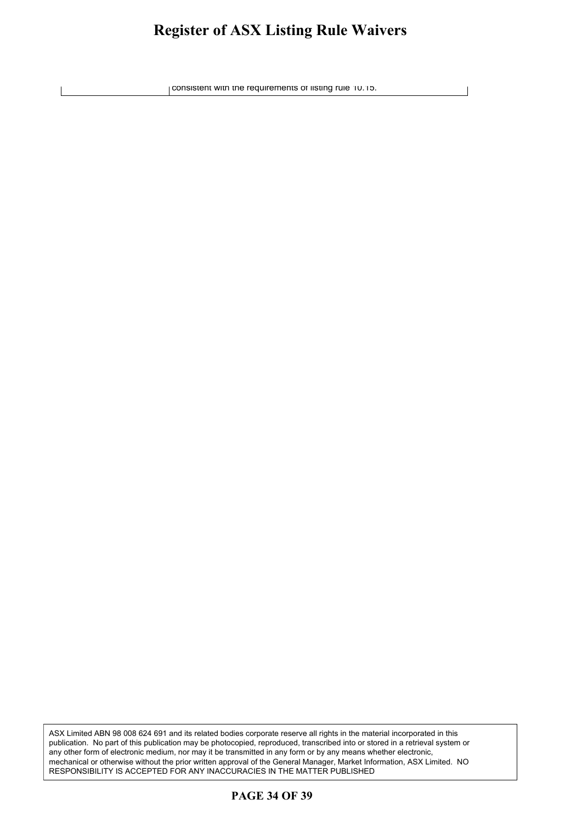#### **Register of ASX Listing Rule Waivers** cister of  $\Lambda {\rm V}$  I isting Rule Waivers rule 10.15 in a notice of meeting. Accordingly, a waiver from listing

consistent with the requirements of listing rule 10.15.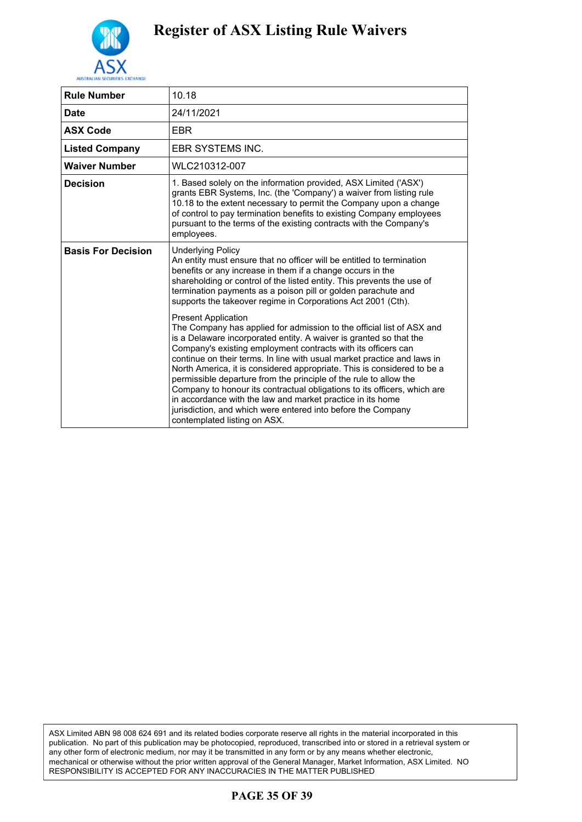

| <b>Rule Number</b>        | 10.18                                                                                                                                                                                                                                                                                                                                                                                                                                                                                                                                                                                                                                                                                                                                                                                                                                                                                                                                                                                                                                                                                         |
|---------------------------|-----------------------------------------------------------------------------------------------------------------------------------------------------------------------------------------------------------------------------------------------------------------------------------------------------------------------------------------------------------------------------------------------------------------------------------------------------------------------------------------------------------------------------------------------------------------------------------------------------------------------------------------------------------------------------------------------------------------------------------------------------------------------------------------------------------------------------------------------------------------------------------------------------------------------------------------------------------------------------------------------------------------------------------------------------------------------------------------------|
| <b>Date</b>               | 24/11/2021                                                                                                                                                                                                                                                                                                                                                                                                                                                                                                                                                                                                                                                                                                                                                                                                                                                                                                                                                                                                                                                                                    |
| <b>ASX Code</b>           | EBR                                                                                                                                                                                                                                                                                                                                                                                                                                                                                                                                                                                                                                                                                                                                                                                                                                                                                                                                                                                                                                                                                           |
| <b>Listed Company</b>     | <b>EBR SYSTEMS INC.</b>                                                                                                                                                                                                                                                                                                                                                                                                                                                                                                                                                                                                                                                                                                                                                                                                                                                                                                                                                                                                                                                                       |
| <b>Waiver Number</b>      | WLC210312-007                                                                                                                                                                                                                                                                                                                                                                                                                                                                                                                                                                                                                                                                                                                                                                                                                                                                                                                                                                                                                                                                                 |
| <b>Decision</b>           | 1. Based solely on the information provided, ASX Limited ('ASX')<br>grants EBR Systems, Inc. (the 'Company') a waiver from listing rule<br>10.18 to the extent necessary to permit the Company upon a change<br>of control to pay termination benefits to existing Company employees<br>pursuant to the terms of the existing contracts with the Company's<br>employees.                                                                                                                                                                                                                                                                                                                                                                                                                                                                                                                                                                                                                                                                                                                      |
| <b>Basis For Decision</b> | <b>Underlying Policy</b><br>An entity must ensure that no officer will be entitled to termination<br>benefits or any increase in them if a change occurs in the<br>shareholding or control of the listed entity. This prevents the use of<br>termination payments as a poison pill or golden parachute and<br>supports the takeover regime in Corporations Act 2001 (Cth).<br><b>Present Application</b><br>The Company has applied for admission to the official list of ASX and<br>is a Delaware incorporated entity. A waiver is granted so that the<br>Company's existing employment contracts with its officers can<br>continue on their terms. In line with usual market practice and laws in<br>North America, it is considered appropriate. This is considered to be a<br>permissible departure from the principle of the rule to allow the<br>Company to honour its contractual obligations to its officers, which are<br>in accordance with the law and market practice in its home<br>jurisdiction, and which were entered into before the Company<br>contemplated listing on ASX. |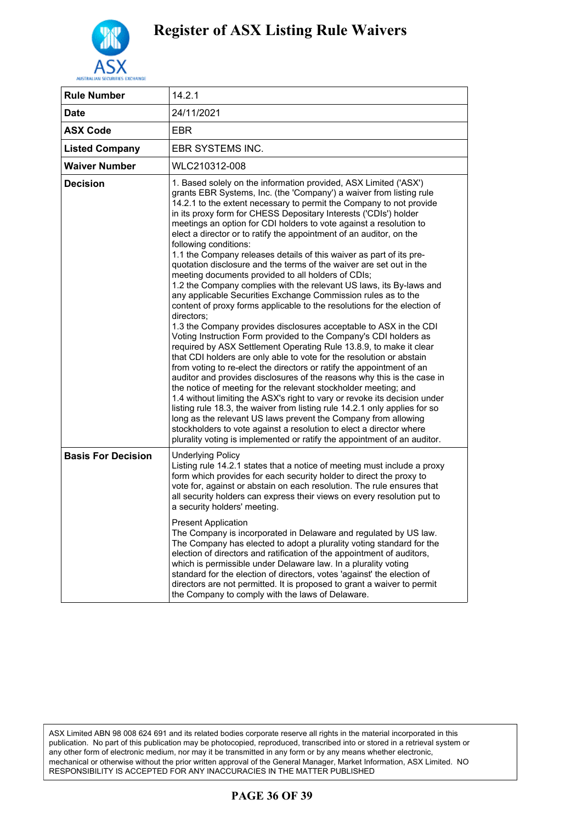

| <b>Rule Number</b>        | 14.2.1                                                                                                                                                                                                                                                                                                                                                                                                                                                                                                                                                                                                                                                                                                                                                                                                                                                                                                                                                                                                                                                                                                                                                                                                                                                                                                                                                                                                                                                                                                                                                                                                                                                                                                                                                                                       |
|---------------------------|----------------------------------------------------------------------------------------------------------------------------------------------------------------------------------------------------------------------------------------------------------------------------------------------------------------------------------------------------------------------------------------------------------------------------------------------------------------------------------------------------------------------------------------------------------------------------------------------------------------------------------------------------------------------------------------------------------------------------------------------------------------------------------------------------------------------------------------------------------------------------------------------------------------------------------------------------------------------------------------------------------------------------------------------------------------------------------------------------------------------------------------------------------------------------------------------------------------------------------------------------------------------------------------------------------------------------------------------------------------------------------------------------------------------------------------------------------------------------------------------------------------------------------------------------------------------------------------------------------------------------------------------------------------------------------------------------------------------------------------------------------------------------------------------|
| <b>Date</b>               | 24/11/2021                                                                                                                                                                                                                                                                                                                                                                                                                                                                                                                                                                                                                                                                                                                                                                                                                                                                                                                                                                                                                                                                                                                                                                                                                                                                                                                                                                                                                                                                                                                                                                                                                                                                                                                                                                                   |
| <b>ASX Code</b>           | <b>EBR</b>                                                                                                                                                                                                                                                                                                                                                                                                                                                                                                                                                                                                                                                                                                                                                                                                                                                                                                                                                                                                                                                                                                                                                                                                                                                                                                                                                                                                                                                                                                                                                                                                                                                                                                                                                                                   |
| <b>Listed Company</b>     | EBR SYSTEMS INC.                                                                                                                                                                                                                                                                                                                                                                                                                                                                                                                                                                                                                                                                                                                                                                                                                                                                                                                                                                                                                                                                                                                                                                                                                                                                                                                                                                                                                                                                                                                                                                                                                                                                                                                                                                             |
| <b>Waiver Number</b>      | WLC210312-008                                                                                                                                                                                                                                                                                                                                                                                                                                                                                                                                                                                                                                                                                                                                                                                                                                                                                                                                                                                                                                                                                                                                                                                                                                                                                                                                                                                                                                                                                                                                                                                                                                                                                                                                                                                |
| <b>Decision</b>           | 1. Based solely on the information provided, ASX Limited ('ASX')<br>grants EBR Systems, Inc. (the 'Company') a waiver from listing rule<br>14.2.1 to the extent necessary to permit the Company to not provide<br>in its proxy form for CHESS Depositary Interests ('CDIs') holder<br>meetings an option for CDI holders to vote against a resolution to<br>elect a director or to ratify the appointment of an auditor, on the<br>following conditions:<br>1.1 the Company releases details of this waiver as part of its pre-<br>quotation disclosure and the terms of the waiver are set out in the<br>meeting documents provided to all holders of CDIs;<br>1.2 the Company complies with the relevant US laws, its By-laws and<br>any applicable Securities Exchange Commission rules as to the<br>content of proxy forms applicable to the resolutions for the election of<br>directors:<br>1.3 the Company provides disclosures acceptable to ASX in the CDI<br>Voting Instruction Form provided to the Company's CDI holders as<br>required by ASX Settlement Operating Rule 13.8.9, to make it clear<br>that CDI holders are only able to vote for the resolution or abstain<br>from voting to re-elect the directors or ratify the appointment of an<br>auditor and provides disclosures of the reasons why this is the case in<br>the notice of meeting for the relevant stockholder meeting; and<br>1.4 without limiting the ASX's right to vary or revoke its decision under<br>listing rule 18.3, the waiver from listing rule 14.2.1 only applies for so<br>long as the relevant US laws prevent the Company from allowing<br>stockholders to vote against a resolution to elect a director where<br>plurality voting is implemented or ratify the appointment of an auditor. |
| <b>Basis For Decision</b> | <b>Underlying Policy</b><br>Listing rule 14.2.1 states that a notice of meeting must include a proxy<br>form which provides for each security holder to direct the proxy to<br>vote for, against or abstain on each resolution. The rule ensures that<br>all security holders can express their views on every resolution put to<br>a security holders' meeting.<br><b>Present Application</b><br>The Company is incorporated in Delaware and regulated by US law.<br>The Company has elected to adopt a plurality voting standard for the<br>election of directors and ratification of the appointment of auditors,<br>which is permissible under Delaware law. In a plurality voting<br>standard for the election of directors, votes 'against' the election of<br>directors are not permitted. It is proposed to grant a waiver to permit<br>the Company to comply with the laws of Delaware.                                                                                                                                                                                                                                                                                                                                                                                                                                                                                                                                                                                                                                                                                                                                                                                                                                                                                             |

### **PAGE 36 OF 39**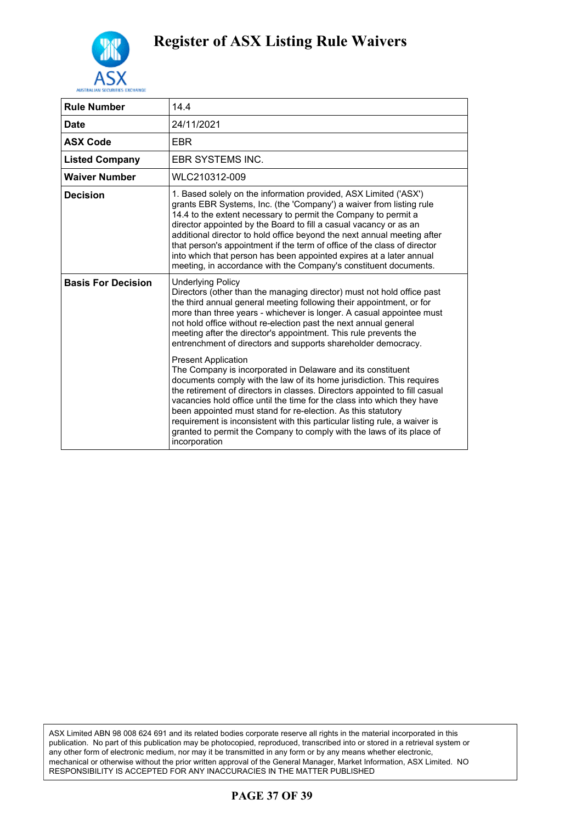

| <b>Rule Number</b>        | 14.4                                                                                                                                                                                                                                                                                                                                                                                                                                                                                                                                                                             |
|---------------------------|----------------------------------------------------------------------------------------------------------------------------------------------------------------------------------------------------------------------------------------------------------------------------------------------------------------------------------------------------------------------------------------------------------------------------------------------------------------------------------------------------------------------------------------------------------------------------------|
| <b>Date</b>               | 24/11/2021                                                                                                                                                                                                                                                                                                                                                                                                                                                                                                                                                                       |
| <b>ASX Code</b>           | EBR                                                                                                                                                                                                                                                                                                                                                                                                                                                                                                                                                                              |
| <b>Listed Company</b>     | <b>EBR SYSTEMS INC.</b>                                                                                                                                                                                                                                                                                                                                                                                                                                                                                                                                                          |
| <b>Waiver Number</b>      | WLC210312-009                                                                                                                                                                                                                                                                                                                                                                                                                                                                                                                                                                    |
| <b>Decision</b>           | 1. Based solely on the information provided, ASX Limited ('ASX')<br>grants EBR Systems, Inc. (the 'Company') a waiver from listing rule<br>14.4 to the extent necessary to permit the Company to permit a<br>director appointed by the Board to fill a casual vacancy or as an<br>additional director to hold office beyond the next annual meeting after<br>that person's appointment if the term of office of the class of director<br>into which that person has been appointed expires at a later annual<br>meeting, in accordance with the Company's constituent documents. |
| <b>Basis For Decision</b> | <b>Underlying Policy</b><br>Directors (other than the managing director) must not hold office past<br>the third annual general meeting following their appointment, or for<br>more than three years - whichever is longer. A casual appointee must<br>not hold office without re-election past the next annual general<br>meeting after the director's appointment. This rule prevents the<br>entrenchment of directors and supports shareholder democracy.                                                                                                                      |
|                           | <b>Present Application</b><br>The Company is incorporated in Delaware and its constituent<br>documents comply with the law of its home jurisdiction. This requires<br>the retirement of directors in classes. Directors appointed to fill casual<br>vacancies hold office until the time for the class into which they have<br>been appointed must stand for re-election. As this statutory<br>requirement is inconsistent with this particular listing rule, a waiver is<br>granted to permit the Company to comply with the laws of its place of<br>incorporation              |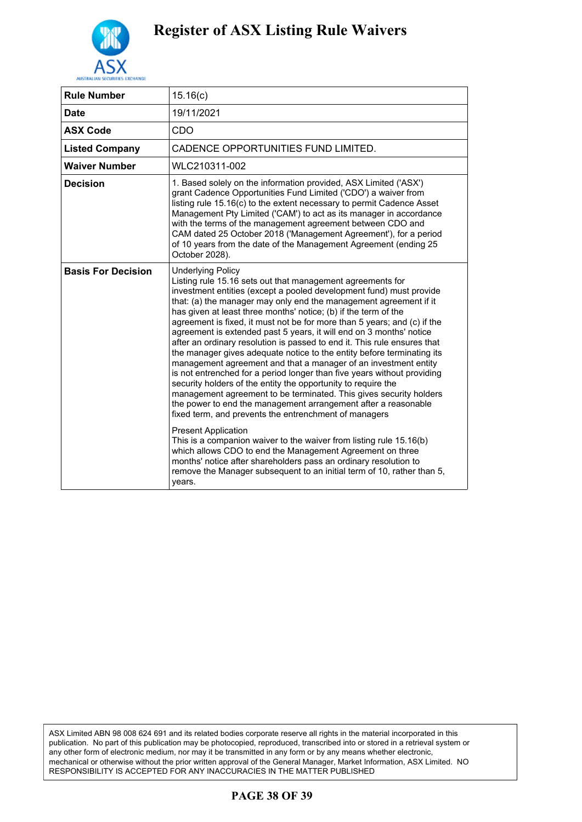

| <b>Rule Number</b>        | 15.16(c)                                                                                                                                                                                                                                                                                                                                                                                                                                                                                                                                                                                                                                                                                                                                                                                                                                                                                                                                                                                                                                                                                                                                                                                                                                                                                                                                                 |
|---------------------------|----------------------------------------------------------------------------------------------------------------------------------------------------------------------------------------------------------------------------------------------------------------------------------------------------------------------------------------------------------------------------------------------------------------------------------------------------------------------------------------------------------------------------------------------------------------------------------------------------------------------------------------------------------------------------------------------------------------------------------------------------------------------------------------------------------------------------------------------------------------------------------------------------------------------------------------------------------------------------------------------------------------------------------------------------------------------------------------------------------------------------------------------------------------------------------------------------------------------------------------------------------------------------------------------------------------------------------------------------------|
| <b>Date</b>               | 19/11/2021                                                                                                                                                                                                                                                                                                                                                                                                                                                                                                                                                                                                                                                                                                                                                                                                                                                                                                                                                                                                                                                                                                                                                                                                                                                                                                                                               |
| <b>ASX Code</b>           | CDO                                                                                                                                                                                                                                                                                                                                                                                                                                                                                                                                                                                                                                                                                                                                                                                                                                                                                                                                                                                                                                                                                                                                                                                                                                                                                                                                                      |
| <b>Listed Company</b>     | CADENCE OPPORTUNITIES FUND LIMITED.                                                                                                                                                                                                                                                                                                                                                                                                                                                                                                                                                                                                                                                                                                                                                                                                                                                                                                                                                                                                                                                                                                                                                                                                                                                                                                                      |
| <b>Waiver Number</b>      | WLC210311-002                                                                                                                                                                                                                                                                                                                                                                                                                                                                                                                                                                                                                                                                                                                                                                                                                                                                                                                                                                                                                                                                                                                                                                                                                                                                                                                                            |
| <b>Decision</b>           | 1. Based solely on the information provided, ASX Limited ('ASX')<br>grant Cadence Opportunities Fund Limited ('CDO') a waiver from<br>listing rule 15.16(c) to the extent necessary to permit Cadence Asset<br>Management Pty Limited ('CAM') to act as its manager in accordance<br>with the terms of the management agreement between CDO and<br>CAM dated 25 October 2018 ('Management Agreement'), for a period<br>of 10 years from the date of the Management Agreement (ending 25<br>October 2028).                                                                                                                                                                                                                                                                                                                                                                                                                                                                                                                                                                                                                                                                                                                                                                                                                                                |
| <b>Basis For Decision</b> | <b>Underlying Policy</b><br>Listing rule 15.16 sets out that management agreements for<br>investment entities (except a pooled development fund) must provide<br>that: (a) the manager may only end the management agreement if it<br>has given at least three months' notice; (b) if the term of the<br>agreement is fixed, it must not be for more than 5 years; and (c) if the<br>agreement is extended past 5 years, it will end on 3 months' notice<br>after an ordinary resolution is passed to end it. This rule ensures that<br>the manager gives adequate notice to the entity before terminating its<br>management agreement and that a manager of an investment entity<br>is not entrenched for a period longer than five years without providing<br>security holders of the entity the opportunity to require the<br>management agreement to be terminated. This gives security holders<br>the power to end the management arrangement after a reasonable<br>fixed term, and prevents the entrenchment of managers<br><b>Present Application</b><br>This is a companion waiver to the waiver from listing rule 15.16(b)<br>which allows CDO to end the Management Agreement on three<br>months' notice after shareholders pass an ordinary resolution to<br>remove the Manager subsequent to an initial term of 10, rather than 5,<br>years. |